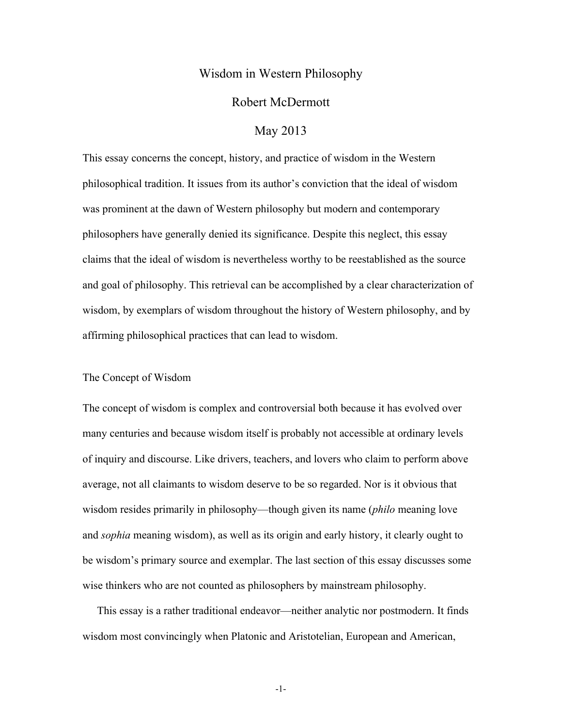### Wisdom in Western Philosophy

# Robert McDermott

### May 2013

This essay concerns the concept, history, and practice of wisdom in the Western philosophical tradition. It issues from its author's conviction that the ideal of wisdom was prominent at the dawn of Western philosophy but modern and contemporary philosophers have generally denied its significance. Despite this neglect, this essay claims that the ideal of wisdom is nevertheless worthy to be reestablished as the source and goal of philosophy. This retrieval can be accomplished by a clear characterization of wisdom, by exemplars of wisdom throughout the history of Western philosophy, and by affirming philosophical practices that can lead to wisdom.

#### The Concept of Wisdom

The concept of wisdom is complex and controversial both because it has evolved over many centuries and because wisdom itself is probably not accessible at ordinary levels of inquiry and discourse. Like drivers, teachers, and lovers who claim to perform above average, not all claimants to wisdom deserve to be so regarded. Nor is it obvious that wisdom resides primarily in philosophy—though given its name (*philo* meaning love and *sophia* meaning wisdom), as well as its origin and early history, it clearly ought to be wisdom's primary source and exemplar. The last section of this essay discusses some wise thinkers who are not counted as philosophers by mainstream philosophy.

This essay is a rather traditional endeavor—neither analytic nor postmodern. It finds wisdom most convincingly when Platonic and Aristotelian, European and American,

-1-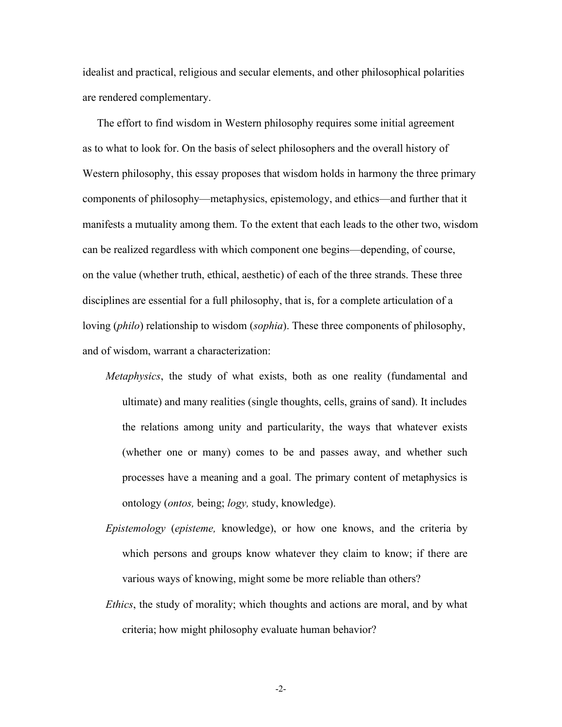idealist and practical, religious and secular elements, and other philosophical polarities are rendered complementary.

The effort to find wisdom in Western philosophy requires some initial agreement as to what to look for. On the basis of select philosophers and the overall history of Western philosophy, this essay proposes that wisdom holds in harmony the three primary components of philosophy—metaphysics, epistemology, and ethics—and further that it manifests a mutuality among them. To the extent that each leads to the other two, wisdom can be realized regardless with which component one begins—depending, of course, on the value (whether truth, ethical, aesthetic) of each of the three strands. These three disciplines are essential for a full philosophy, that is, for a complete articulation of a loving (*philo*) relationship to wisdom (*sophia*). These three components of philosophy, and of wisdom, warrant a characterization:

- *Metaphysics*, the study of what exists, both as one reality (fundamental and ultimate) and many realities (single thoughts, cells, grains of sand). It includes the relations among unity and particularity, the ways that whatever exists (whether one or many) comes to be and passes away, and whether such processes have a meaning and a goal. The primary content of metaphysics is ontology (*ontos,* being; *logy,* study, knowledge).
- *Epistemology* (*episteme,* knowledge), or how one knows, and the criteria by which persons and groups know whatever they claim to know; if there are various ways of knowing, might some be more reliable than others?
- *Ethics*, the study of morality; which thoughts and actions are moral, and by what criteria; how might philosophy evaluate human behavior?

-2-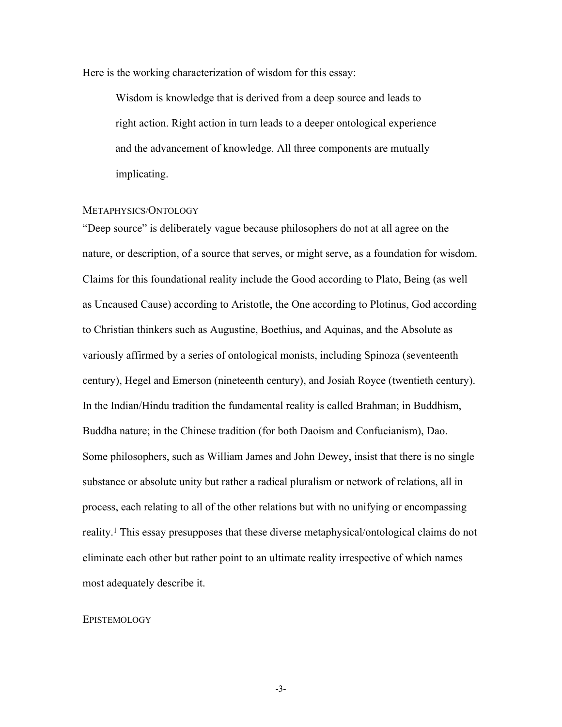Here is the working characterization of wisdom for this essay:

Wisdom is knowledge that is derived from a deep source and leads to right action. Right action in turn leads to a deeper ontological experience and the advancement of knowledge. All three components are mutually implicating.

### METAPHYSICS/ONTOLOGY

"Deep source" is deliberately vague because philosophers do not at all agree on the nature, or description, of a source that serves, or might serve, as a foundation for wisdom. Claims for this foundational reality include the Good according to Plato, Being (as well as Uncaused Cause) according to Aristotle, the One according to Plotinus, God according to Christian thinkers such as Augustine, Boethius, and Aquinas, and the Absolute as variously affirmed by a series of ontological monists, including Spinoza (seventeenth century), Hegel and Emerson (nineteenth century), and Josiah Royce (twentieth century). In the Indian/Hindu tradition the fundamental reality is called Brahman; in Buddhism, Buddha nature; in the Chinese tradition (for both Daoism and Confucianism), Dao. Some philosophers, such as William James and John Dewey, insist that there is no single substance or absolute unity but rather a radical pluralism or network of relations, all in process, each relating to all of the other relations but with no unifying or encompassing reality.<sup>1</sup> This essay presupposes that these diverse metaphysical/ontological claims do not eliminate each other but rather point to an ultimate reality irrespective of which names most adequately describe it.

### **EPISTEMOLOGY**

-3-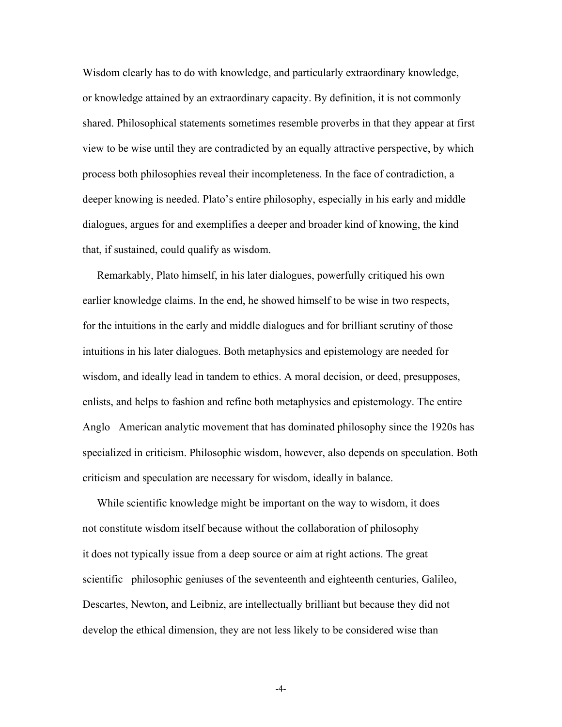Wisdom clearly has to do with knowledge, and particularly extraordinary knowledge, or knowledge attained by an extraordinary capacity. By definition, it is not commonly shared. Philosophical statements sometimes resemble proverbs in that they appear at first view to be wise until they are contradicted by an equally attractive perspective, by which process both philosophies reveal their incompleteness. In the face of contradiction, a deeper knowing is needed. Plato's entire philosophy, especially in his early and middle dialogues, argues for and exemplifies a deeper and broader kind of knowing, the kind that, if sustained, could qualify as wisdom.

Remarkably, Plato himself, in his later dialogues, powerfully critiqued his own earlier knowledge claims. In the end, he showed himself to be wise in two respects, for the intuitions in the early and middle dialogues and for brilliant scrutiny of those intuitions in his later dialogues. Both metaphysics and epistemology are needed for wisdom, and ideally lead in tandem to ethics. A moral decision, or deed, presupposes, enlists, and helps to fashion and refine both metaphysics and epistemology. The entire Anglo American analytic movement that has dominated philosophy since the 1920s has specialized in criticism. Philosophic wisdom, however, also depends on speculation. Both criticism and speculation are necessary for wisdom, ideally in balance.

While scientific knowledge might be important on the way to wisdom, it does not constitute wisdom itself because without the collaboration of philosophy it does not typically issue from a deep source or aim at right actions. The great scientific philosophic geniuses of the seventeenth and eighteenth centuries, Galileo, Descartes, Newton, and Leibniz, are intellectually brilliant but because they did not develop the ethical dimension, they are not less likely to be considered wise than

-4-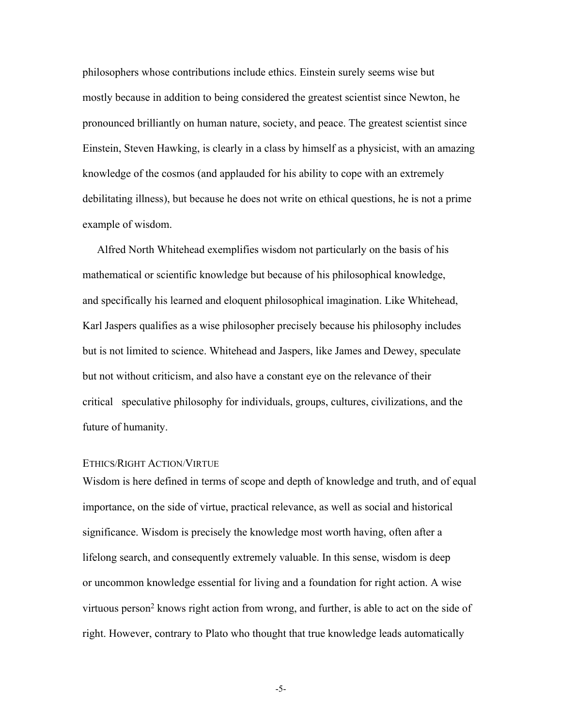philosophers whose contributions include ethics. Einstein surely seems wise but mostly because in addition to being considered the greatest scientist since Newton, he pronounced brilliantly on human nature, society, and peace. The greatest scientist since Einstein, Steven Hawking, is clearly in a class by himself as a physicist, with an amazing knowledge of the cosmos (and applauded for his ability to cope with an extremely debilitating illness), but because he does not write on ethical questions, he is not a prime example of wisdom.

Alfred North Whitehead exemplifies wisdom not particularly on the basis of his mathematical or scientific knowledge but because of his philosophical knowledge, and specifically his learned and eloquent philosophical imagination. Like Whitehead, Karl Jaspers qualifies as a wise philosopher precisely because his philosophy includes but is not limited to science. Whitehead and Jaspers, like James and Dewey, speculate but not without criticism, and also have a constant eye on the relevance of their critical speculative philosophy for individuals, groups, cultures, civilizations, and the future of humanity.

#### ETHICS/RIGHT ACTION/VIRTUE

Wisdom is here defined in terms of scope and depth of knowledge and truth, and of equal importance, on the side of virtue, practical relevance, as well as social and historical significance. Wisdom is precisely the knowledge most worth having, often after a lifelong search, and consequently extremely valuable. In this sense, wisdom is deep or uncommon knowledge essential for living and a foundation for right action. A wise virtuous person<sup>2</sup> knows right action from wrong, and further, is able to act on the side of right. However, contrary to Plato who thought that true knowledge leads automatically

-5-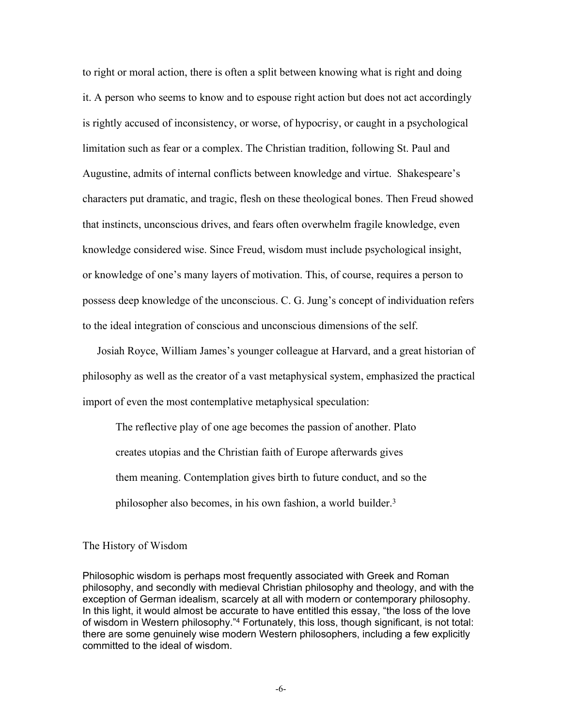to right or moral action, there is often a split between knowing what is right and doing it. A person who seems to know and to espouse right action but does not act accordingly is rightly accused of inconsistency, or worse, of hypocrisy, or caught in a psychological limitation such as fear or a complex. The Christian tradition, following St. Paul and Augustine, admits of internal conflicts between knowledge and virtue. Shakespeare's characters put dramatic, and tragic, flesh on these theological bones. Then Freud showed that instincts, unconscious drives, and fears often overwhelm fragile knowledge, even knowledge considered wise. Since Freud, wisdom must include psychological insight, or knowledge of one's many layers of motivation. This, of course, requires a person to possess deep knowledge of the unconscious. C. G. Jung's concept of individuation refers to the ideal integration of conscious and unconscious dimensions of the self.

Josiah Royce, William James's younger colleague at Harvard, and a great historian of philosophy as well as the creator of a vast metaphysical system, emphasized the practical import of even the most contemplative metaphysical speculation:

The reflective play of one age becomes the passion of another. Plato creates utopias and the Christian faith of Europe afterwards gives them meaning. Contemplation gives birth to future conduct, and so the philosopher also becomes, in his own fashion, a world builder.<sup>3</sup>

#### The History of Wisdom

Philosophic wisdom is perhaps most frequently associated with Greek and Roman philosophy, and secondly with medieval Christian philosophy and theology, and with the exception of German idealism, scarcely at all with modern or contemporary philosophy. In this light, it would almost be accurate to have entitled this essay, "the loss of the love of wisdom in Western philosophy."<sup>4</sup> Fortunately, this loss, though significant, is not total: there are some genuinely wise modern Western philosophers, including a few explicitly committed to the ideal of wisdom.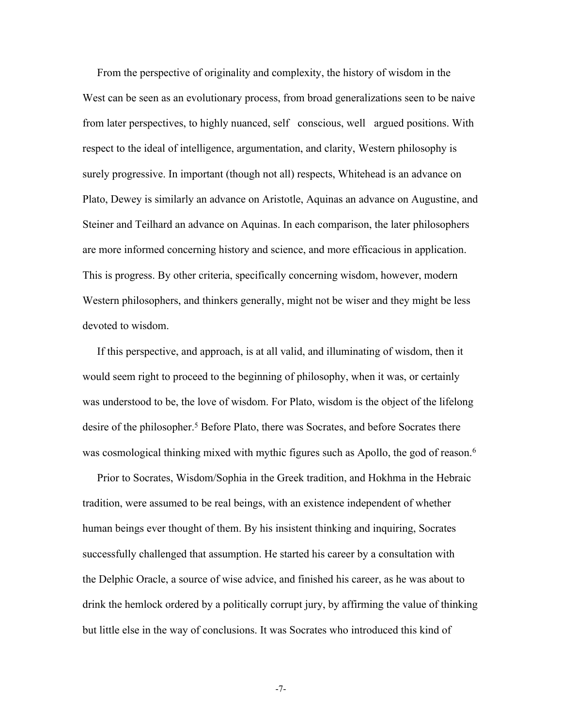From the perspective of originality and complexity, the history of wisdom in the West can be seen as an evolutionary process, from broad generalizations seen to be naive from later perspectives, to highly nuanced, self conscious, well argued positions. With respect to the ideal of intelligence, argumentation, and clarity, Western philosophy is surely progressive. In important (though not all) respects, Whitehead is an advance on Plato, Dewey is similarly an advance on Aristotle, Aquinas an advance on Augustine, and Steiner and Teilhard an advance on Aquinas. In each comparison, the later philosophers are more informed concerning history and science, and more efficacious in application. This is progress. By other criteria, specifically concerning wisdom, however, modern Western philosophers, and thinkers generally, might not be wiser and they might be less devoted to wisdom.

If this perspective, and approach, is at all valid, and illuminating of wisdom, then it would seem right to proceed to the beginning of philosophy, when it was, or certainly was understood to be, the love of wisdom. For Plato, wisdom is the object of the lifelong desire of the philosopher.<sup>5</sup> Before Plato, there was Socrates, and before Socrates there was cosmological thinking mixed with mythic figures such as Apollo, the god of reason.<sup>6</sup>

Prior to Socrates, Wisdom/Sophia in the Greek tradition, and Hokhma in the Hebraic tradition, were assumed to be real beings, with an existence independent of whether human beings ever thought of them. By his insistent thinking and inquiring, Socrates successfully challenged that assumption. He started his career by a consultation with the Delphic Oracle, a source of wise advice, and finished his career, as he was about to drink the hemlock ordered by a politically corrupt jury, by affirming the value of thinking but little else in the way of conclusions. It was Socrates who introduced this kind of

-7-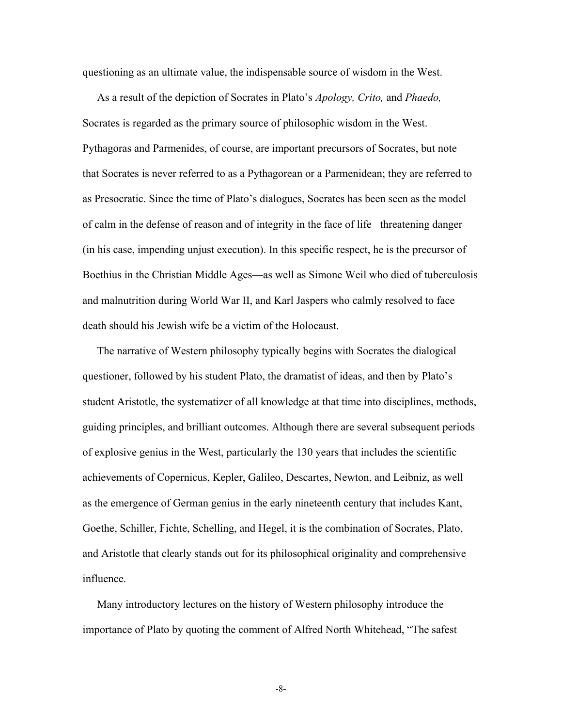questioning as an ultimate value, the indispensable source of wisdom in the West.

As a result of the depiction of Socrates in Plato's *Apology, Crito,* and *Phaedo,*  Socrates is regarded as the primary source of philosophic wisdom in the West. Pythagoras and Parmenides, of course, are important precursors of Socrates, but note that Socrates is never referred to as a Pythagorean or a Parmenidean; they are referred to as Presocratic. Since the time of Plato's dialogues, Socrates has been seen as the model of calm in the defense of reason and of integrity in the face of life threatening danger (in his case, impending unjust execution). In this specific respect, he is the precursor of Boethius in the Christian Middle Ages—as well as Simone Weil who died of tuberculosis and malnutrition during World War II, and Karl Jaspers who calmly resolved to face death should his Jewish wife be a victim of the Holocaust.

The narrative of Western philosophy typically begins with Socrates the dialogical questioner, followed by his student Plato, the dramatist of ideas, and then by Plato's student Aristotle, the systematizer of all knowledge at that time into disciplines, methods, guiding principles, and brilliant outcomes. Although there are several subsequent periods of explosive genius in the West, particularly the 130 years that includes the scientific achievements of Copernicus, Kepler, Galileo, Descartes, Newton, and Leibniz, as well as the emergence of German genius in the early nineteenth century that includes Kant, Goethe, Schiller, Fichte, Schelling, and Hegel, it is the combination of Socrates, Plato, and Aristotle that clearly stands out for its philosophical originality and comprehensive influence.

Many introductory lectures on the history of Western philosophy introduce the importance of Plato by quoting the comment of Alfred North Whitehead, "The safest

-8-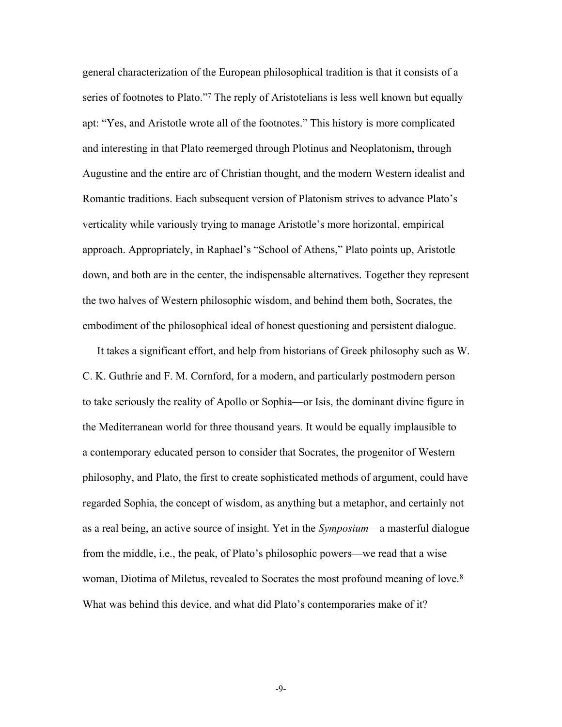general characterization of the European philosophical tradition is that it consists of a series of footnotes to Plato."<sup>7</sup> The reply of Aristotelians is less well known but equally apt: "Yes, and Aristotle wrote all of the footnotes." This history is more complicated and interesting in that Plato reemerged through Plotinus and Neoplatonism, through Augustine and the entire arc of Christian thought, and the modern Western idealist and Romantic traditions. Each subsequent version of Platonism strives to advance Plato's verticality while variously trying to manage Aristotle's more horizontal, empirical approach. Appropriately, in Raphael's "School of Athens," Plato points up, Aristotle down, and both are in the center, the indispensable alternatives. Together they represent the two halves of Western philosophic wisdom, and behind them both, Socrates, the embodiment of the philosophical ideal of honest questioning and persistent dialogue.

It takes a significant effort, and help from historians of Greek philosophy such as W. C. K. Guthrie and F. M. Cornford, for a modern, and particularly postmodern person to take seriously the reality of Apollo or Sophia—or Isis, the dominant divine figure in the Mediterranean world for three thousand years. It would be equally implausible to a contemporary educated person to consider that Socrates, the progenitor of Western philosophy, and Plato, the first to create sophisticated methods of argument, could have regarded Sophia, the concept of wisdom, as anything but a metaphor, and certainly not as a real being, an active source of insight. Yet in the *Symposium*—a masterful dialogue from the middle, i.e., the peak, of Plato's philosophic powers—we read that a wise woman, Diotima of Miletus, revealed to Socrates the most profound meaning of love.<sup>8</sup> What was behind this device, and what did Plato's contemporaries make of it?

-9-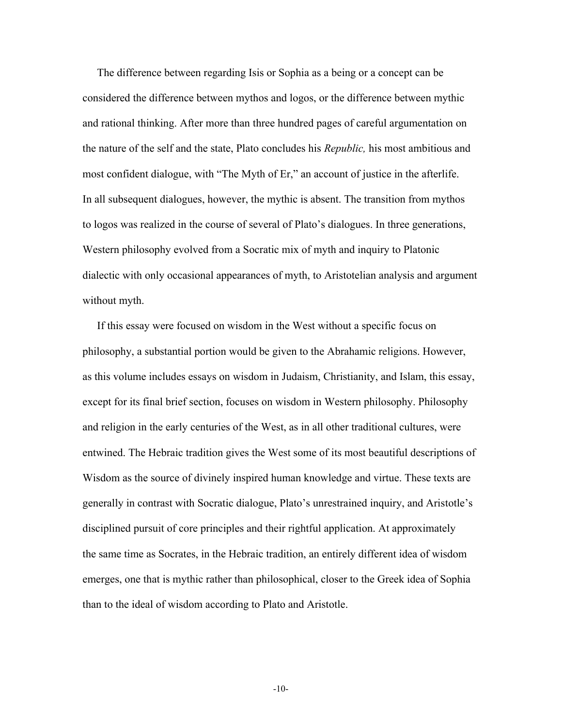The difference between regarding Isis or Sophia as a being or a concept can be considered the difference between mythos and logos, or the difference between mythic and rational thinking. After more than three hundred pages of careful argumentation on the nature of the self and the state, Plato concludes his *Republic,* his most ambitious and most confident dialogue, with "The Myth of Er," an account of justice in the afterlife. In all subsequent dialogues, however, the mythic is absent. The transition from mythos to logos was realized in the course of several of Plato's dialogues. In three generations, Western philosophy evolved from a Socratic mix of myth and inquiry to Platonic dialectic with only occasional appearances of myth, to Aristotelian analysis and argument without myth.

If this essay were focused on wisdom in the West without a specific focus on philosophy, a substantial portion would be given to the Abrahamic religions. However, as this volume includes essays on wisdom in Judaism, Christianity, and Islam, this essay, except for its final brief section, focuses on wisdom in Western philosophy. Philosophy and religion in the early centuries of the West, as in all other traditional cultures, were entwined. The Hebraic tradition gives the West some of its most beautiful descriptions of Wisdom as the source of divinely inspired human knowledge and virtue. These texts are generally in contrast with Socratic dialogue, Plato's unrestrained inquiry, and Aristotle's disciplined pursuit of core principles and their rightful application. At approximately the same time as Socrates, in the Hebraic tradition, an entirely different idea of wisdom emerges, one that is mythic rather than philosophical, closer to the Greek idea of Sophia than to the ideal of wisdom according to Plato and Aristotle.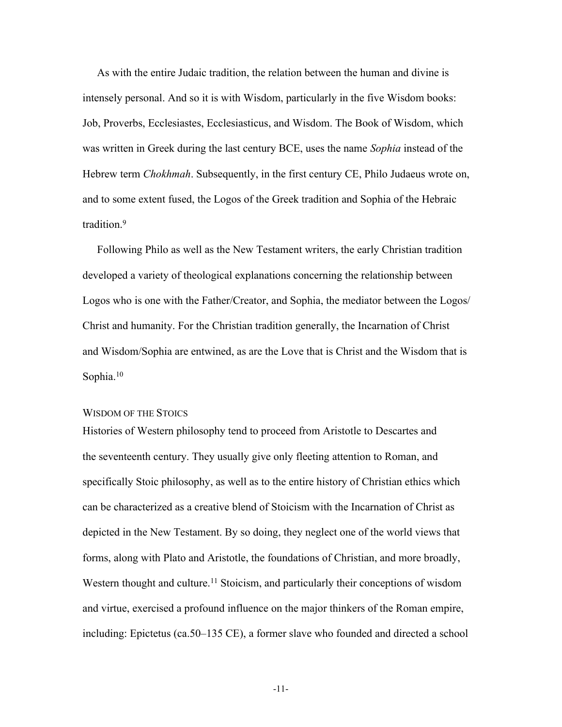As with the entire Judaic tradition, the relation between the human and divine is intensely personal. And so it is with Wisdom, particularly in the five Wisdom books: Job, Proverbs, Ecclesiastes, Ecclesiasticus, and Wisdom. The Book of Wisdom, which was written in Greek during the last century BCE, uses the name *Sophia* instead of the Hebrew term *Chokhmah*. Subsequently, in the first century CE, Philo Judaeus wrote on, and to some extent fused, the Logos of the Greek tradition and Sophia of the Hebraic tradition.<sup>9</sup>

Following Philo as well as the New Testament writers, the early Christian tradition developed a variety of theological explanations concerning the relationship between Logos who is one with the Father/Creator, and Sophia, the mediator between the Logos/ Christ and humanity. For the Christian tradition generally, the Incarnation of Christ and Wisdom/Sophia are entwined, as are the Love that is Christ and the Wisdom that is Sophia.<sup>10</sup>

#### WISDOM OF THE STOICS

Histories of Western philosophy tend to proceed from Aristotle to Descartes and the seventeenth century. They usually give only fleeting attention to Roman, and specifically Stoic philosophy, as well as to the entire history of Christian ethics which can be characterized as a creative blend of Stoicism with the Incarnation of Christ as depicted in the New Testament. By so doing, they neglect one of the world views that forms, along with Plato and Aristotle, the foundations of Christian, and more broadly, Western thought and culture.<sup>11</sup> Stoicism, and particularly their conceptions of wisdom and virtue, exercised a profound influence on the major thinkers of the Roman empire, including: Epictetus (ca.50–135 CE), a former slave who founded and directed a school

-11-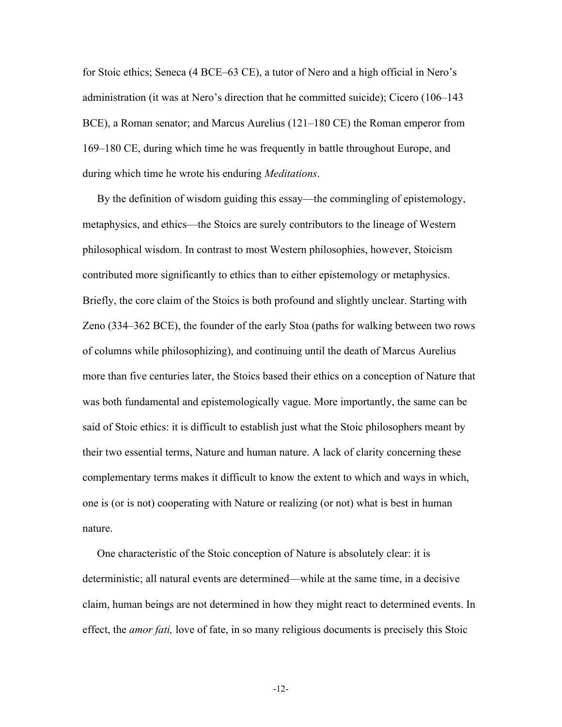for Stoic ethics; Seneca (4 BCE–63 CE), a tutor of Nero and a high official in Nero's administration (it was at Nero's direction that he committed suicide); Cicero (106–143 BCE), a Roman senator; and Marcus Aurelius (121–180 CE) the Roman emperor from 169–180 CE, during which time he was frequently in battle throughout Europe, and during which time he wrote his enduring *Meditations*.

By the definition of wisdom guiding this essay—the commingling of epistemology, metaphysics, and ethics—the Stoics are surely contributors to the lineage of Western philosophical wisdom. In contrast to most Western philosophies, however, Stoicism contributed more significantly to ethics than to either epistemology or metaphysics. Briefly, the core claim of the Stoics is both profound and slightly unclear. Starting with Zeno (334–362 BCE), the founder of the early Stoa (paths for walking between two rows of columns while philosophizing), and continuing until the death of Marcus Aurelius more than five centuries later, the Stoics based their ethics on a conception of Nature that was both fundamental and epistemologically vague. More importantly, the same can be said of Stoic ethics: it is difficult to establish just what the Stoic philosophers meant by their two essential terms, Nature and human nature. A lack of clarity concerning these complementary terms makes it difficult to know the extent to which and ways in which, one is (or is not) cooperating with Nature or realizing (or not) what is best in human nature.

One characteristic of the Stoic conception of Nature is absolutely clear: it is deterministic; all natural events are determined—while at the same time, in a decisive claim, human beings are not determined in how they might react to determined events. In effect, the *amor fati,* love of fate, in so many religious documents is precisely this Stoic

-12-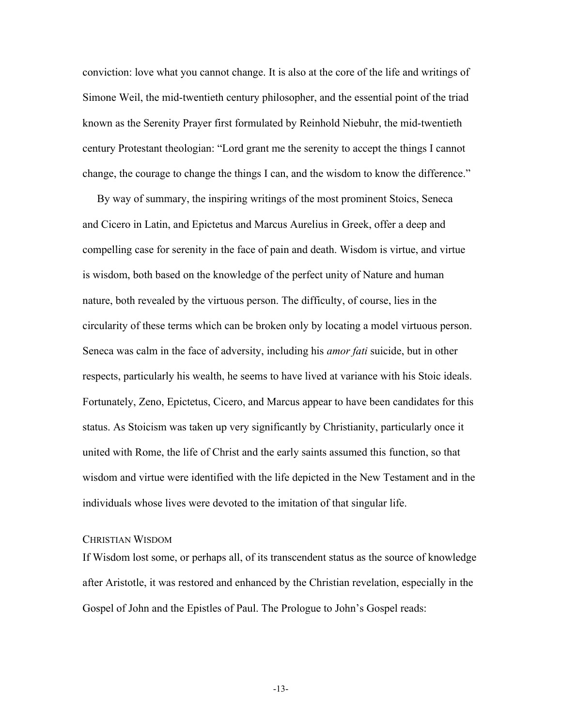conviction: love what you cannot change. It is also at the core of the life and writings of Simone Weil, the mid-twentieth century philosopher, and the essential point of the triad known as the Serenity Prayer first formulated by Reinhold Niebuhr, the mid-twentieth century Protestant theologian: "Lord grant me the serenity to accept the things I cannot change, the courage to change the things I can, and the wisdom to know the difference."

By way of summary, the inspiring writings of the most prominent Stoics, Seneca and Cicero in Latin, and Epictetus and Marcus Aurelius in Greek, offer a deep and compelling case for serenity in the face of pain and death. Wisdom is virtue, and virtue is wisdom, both based on the knowledge of the perfect unity of Nature and human nature, both revealed by the virtuous person. The difficulty, of course, lies in the circularity of these terms which can be broken only by locating a model virtuous person. Seneca was calm in the face of adversity, including his *amor fati* suicide, but in other respects, particularly his wealth, he seems to have lived at variance with his Stoic ideals. Fortunately, Zeno, Epictetus, Cicero, and Marcus appear to have been candidates for this status. As Stoicism was taken up very significantly by Christianity, particularly once it united with Rome, the life of Christ and the early saints assumed this function, so that wisdom and virtue were identified with the life depicted in the New Testament and in the individuals whose lives were devoted to the imitation of that singular life.

### CHRISTIAN WISDOM

If Wisdom lost some, or perhaps all, of its transcendent status as the source of knowledge after Aristotle, it was restored and enhanced by the Christian revelation, especially in the Gospel of John and the Epistles of Paul. The Prologue to John's Gospel reads:

-13-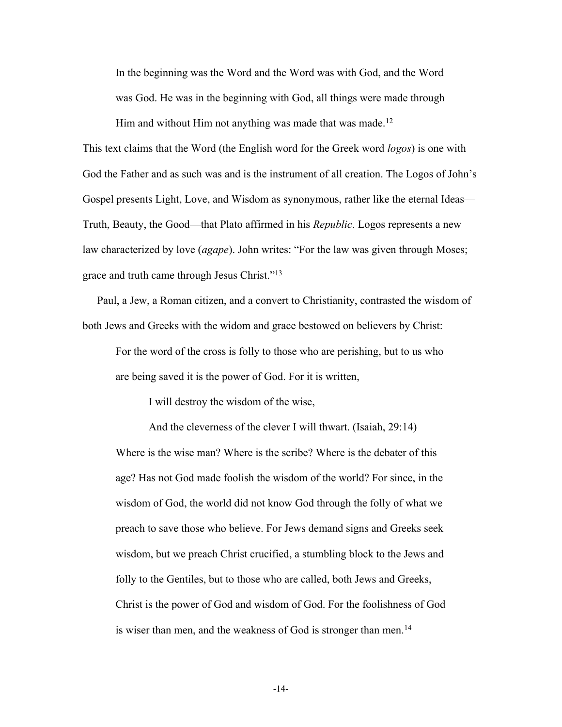In the beginning was the Word and the Word was with God, and the Word was God. He was in the beginning with God, all things were made through

Him and without Him not anything was made that was made.<sup>12</sup>

This text claims that the Word (the English word for the Greek word *logos*) is one with God the Father and as such was and is the instrument of all creation. The Logos of John's Gospel presents Light, Love, and Wisdom as synonymous, rather like the eternal Ideas— Truth, Beauty, the Good—that Plato affirmed in his *Republic*. Logos represents a new law characterized by love (*agape*). John writes: "For the law was given through Moses; grace and truth came through Jesus Christ."<sup>13</sup>

Paul, a Jew, a Roman citizen, and a convert to Christianity, contrasted the wisdom of both Jews and Greeks with the widom and grace bestowed on believers by Christ:

For the word of the cross is folly to those who are perishing, but to us who are being saved it is the power of God. For it is written,

I will destroy the wisdom of the wise,

And the cleverness of the clever I will thwart. (Isaiah, 29:14) Where is the wise man? Where is the scribe? Where is the debater of this age? Has not God made foolish the wisdom of the world? For since, in the wisdom of God, the world did not know God through the folly of what we preach to save those who believe. For Jews demand signs and Greeks seek wisdom, but we preach Christ crucified, a stumbling block to the Jews and folly to the Gentiles, but to those who are called, both Jews and Greeks, Christ is the power of God and wisdom of God. For the foolishness of God is wiser than men, and the weakness of God is stronger than men.<sup>14</sup>

-14-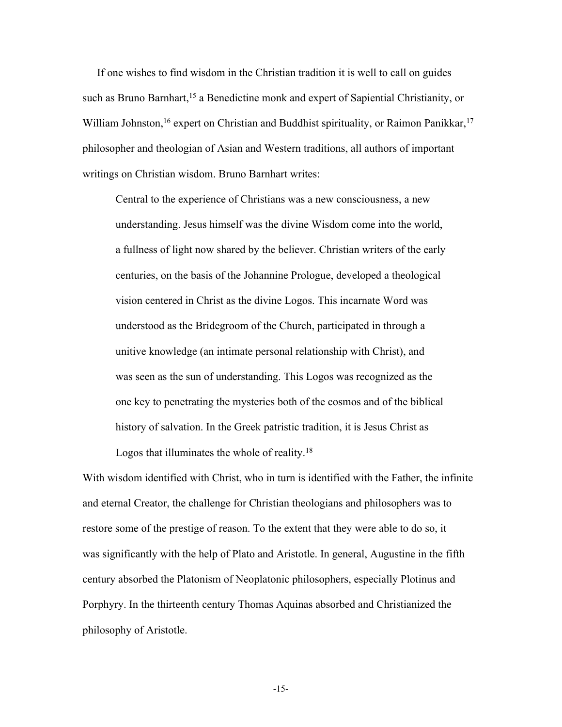If one wishes to find wisdom in the Christian tradition it is well to call on guides such as Bruno Barnhart,<sup>15</sup> a Benedictine monk and expert of Sapiential Christianity, or William Johnston,<sup>16</sup> expert on Christian and Buddhist spirituality, or Raimon Panikkar,<sup>17</sup> philosopher and theologian of Asian and Western traditions, all authors of important writings on Christian wisdom. Bruno Barnhart writes:

Central to the experience of Christians was a new consciousness, a new understanding. Jesus himself was the divine Wisdom come into the world, a fullness of light now shared by the believer. Christian writers of the early centuries, on the basis of the Johannine Prologue, developed a theological vision centered in Christ as the divine Logos. This incarnate Word was understood as the Bridegroom of the Church, participated in through a unitive knowledge (an intimate personal relationship with Christ), and was seen as the sun of understanding. This Logos was recognized as the one key to penetrating the mysteries both of the cosmos and of the biblical history of salvation. In the Greek patristic tradition, it is Jesus Christ as

Logos that illuminates the whole of reality.<sup>18</sup>

With wisdom identified with Christ, who in turn is identified with the Father, the infinite and eternal Creator, the challenge for Christian theologians and philosophers was to restore some of the prestige of reason. To the extent that they were able to do so, it was significantly with the help of Plato and Aristotle. In general, Augustine in the fifth century absorbed the Platonism of Neoplatonic philosophers, especially Plotinus and Porphyry. In the thirteenth century Thomas Aquinas absorbed and Christianized the philosophy of Aristotle.

-15-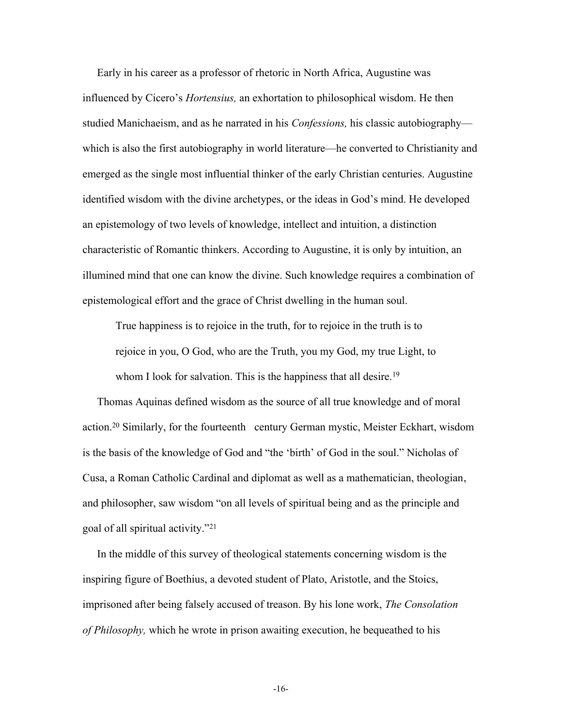Early in his career as a professor of rhetoric in North Africa, Augustine was influenced by Cicero's *Hortensius,* an exhortation to philosophical wisdom. He then studied Manichaeism, and as he narrated in his *Confessions,* his classic autobiography which is also the first autobiography in world literature—he converted to Christianity and emerged as the single most influential thinker of the early Christian centuries. Augustine identified wisdom with the divine archetypes, or the ideas in God's mind. He developed an epistemology of two levels of knowledge, intellect and intuition, a distinction characteristic of Romantic thinkers. According to Augustine, it is only by intuition, an illumined mind that one can know the divine. Such knowledge requires a combination of epistemological effort and the grace of Christ dwelling in the human soul.

True happiness is to rejoice in the truth, for to rejoice in the truth is to rejoice in you, O God, who are the Truth, you my God, my true Light, to whom I look for salvation. This is the happiness that all desire.<sup>19</sup>

Thomas Aquinas defined wisdom as the source of all true knowledge and of moral action.<sup>20</sup> Similarly, for the fourteenth century German mystic, Meister Eckhart, wisdom is the basis of the knowledge of God and "the 'birth' of God in the soul." Nicholas of Cusa, a Roman Catholic Cardinal and diplomat as well as a mathematician, theologian, and philosopher, saw wisdom "on all levels of spiritual being and as the principle and goal of all spiritual activity."<sup>21</sup>

In the middle of this survey of theological statements concerning wisdom is the inspiring figure of Boethius, a devoted student of Plato, Aristotle, and the Stoics, imprisoned after being falsely accused of treason. By his lone work, *The Consolation of Philosophy,* which he wrote in prison awaiting execution, he bequeathed to his

-16-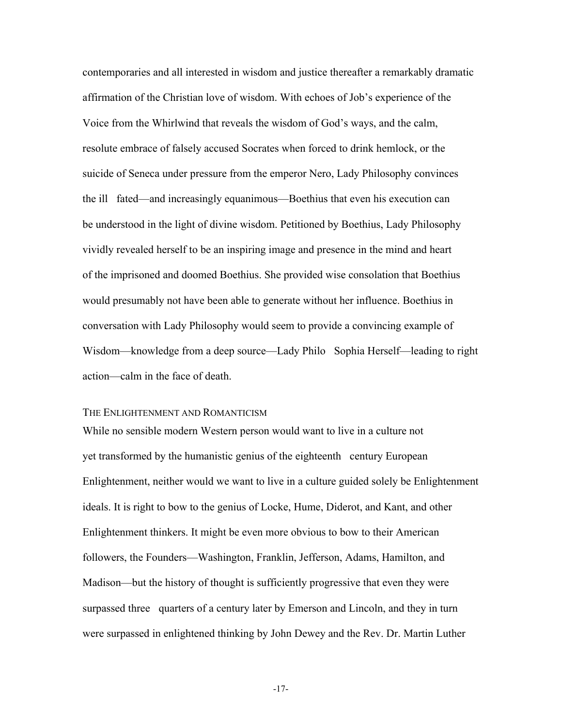contemporaries and all interested in wisdom and justice thereafter a remarkably dramatic affirmation of the Christian love of wisdom. With echoes of Job's experience of the Voice from the Whirlwind that reveals the wisdom of God's ways, and the calm, resolute embrace of falsely accused Socrates when forced to drink hemlock, or the suicide of Seneca under pressure from the emperor Nero, Lady Philosophy convinces the ill fated—and increasingly equanimous—Boethius that even his execution can be understood in the light of divine wisdom. Petitioned by Boethius, Lady Philosophy vividly revealed herself to be an inspiring image and presence in the mind and heart of the imprisoned and doomed Boethius. She provided wise consolation that Boethius would presumably not have been able to generate without her influence. Boethius in conversation with Lady Philosophy would seem to provide a convincing example of Wisdom—knowledge from a deep source—Lady Philo Sophia Herself—leading to right action—calm in the face of death.

### THE ENLIGHTENMENT AND ROMANTICISM

While no sensible modern Western person would want to live in a culture not yet transformed by the humanistic genius of the eighteenth century European Enlightenment, neither would we want to live in a culture guided solely be Enlightenment ideals. It is right to bow to the genius of Locke, Hume, Diderot, and Kant, and other Enlightenment thinkers. It might be even more obvious to bow to their American followers, the Founders—Washington, Franklin, Jefferson, Adams, Hamilton, and Madison—but the history of thought is sufficiently progressive that even they were surpassed three quarters of a century later by Emerson and Lincoln, and they in turn were surpassed in enlightened thinking by John Dewey and the Rev. Dr. Martin Luther

-17-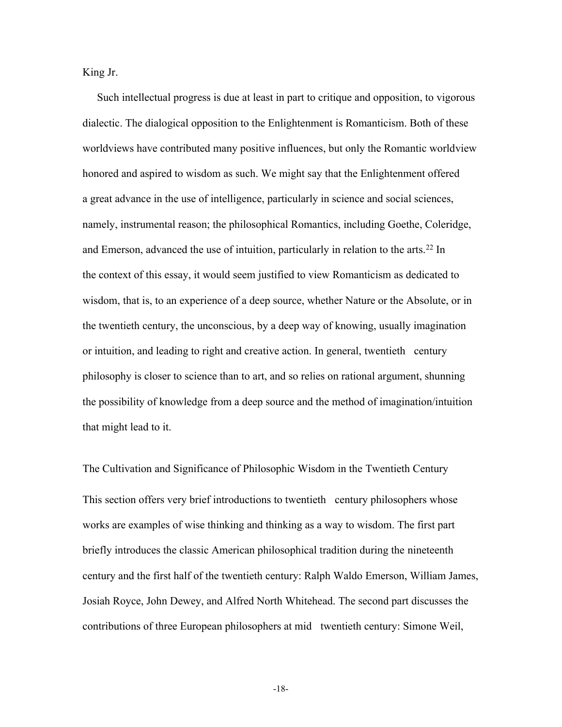King Jr.

Such intellectual progress is due at least in part to critique and opposition, to vigorous dialectic. The dialogical opposition to the Enlightenment is Romanticism. Both of these worldviews have contributed many positive influences, but only the Romantic worldview honored and aspired to wisdom as such. We might say that the Enlightenment offered a great advance in the use of intelligence, particularly in science and social sciences, namely, instrumental reason; the philosophical Romantics, including Goethe, Coleridge, and Emerson, advanced the use of intuition, particularly in relation to the arts.<sup>22</sup> In the context of this essay, it would seem justified to view Romanticism as dedicated to wisdom, that is, to an experience of a deep source, whether Nature or the Absolute, or in the twentieth century, the unconscious, by a deep way of knowing, usually imagination or intuition, and leading to right and creative action. In general, twentieth century philosophy is closer to science than to art, and so relies on rational argument, shunning the possibility of knowledge from a deep source and the method of imagination/intuition that might lead to it.

The Cultivation and Significance of Philosophic Wisdom in the Twentieth Century This section offers very brief introductions to twentieth century philosophers whose works are examples of wise thinking and thinking as a way to wisdom. The first part briefly introduces the classic American philosophical tradition during the nineteenth century and the first half of the twentieth century: Ralph Waldo Emerson, William James, Josiah Royce, John Dewey, and Alfred North Whitehead. The second part discusses the contributions of three European philosophers at mid twentieth century: Simone Weil,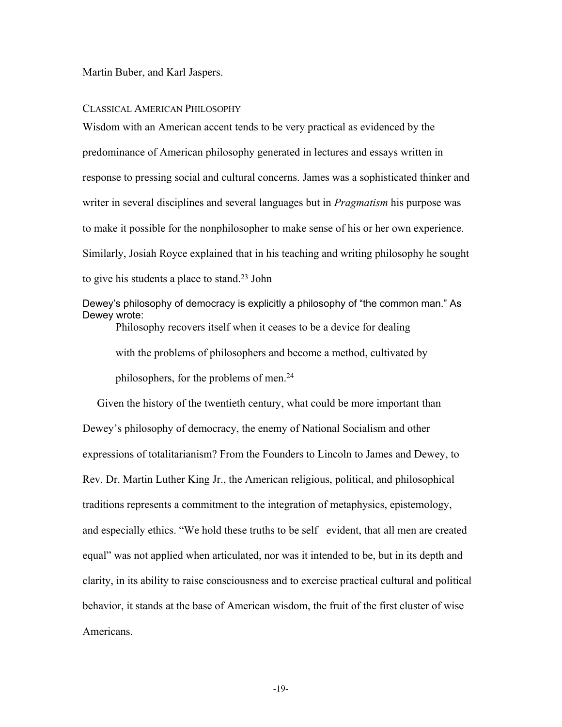Martin Buber, and Karl Jaspers.

CLASSICAL AMERICAN PHILOSOPHY

Wisdom with an American accent tends to be very practical as evidenced by the predominance of American philosophy generated in lectures and essays written in response to pressing social and cultural concerns. James was a sophisticated thinker and writer in several disciplines and several languages but in *Pragmatism* his purpose was to make it possible for the nonphilosopher to make sense of his or her own experience. Similarly, Josiah Royce explained that in his teaching and writing philosophy he sought to give his students a place to stand.<sup>23</sup> John

Dewey's philosophy of democracy is explicitly a philosophy of "the common man." As Dewey wrote: Philosophy recovers itself when it ceases to be a device for dealing with the problems of philosophers and become a method, cultivated by philosophers, for the problems of men.<sup>24</sup>

Given the history of the twentieth century, what could be more important than Dewey's philosophy of democracy, the enemy of National Socialism and other expressions of totalitarianism? From the Founders to Lincoln to James and Dewey, to Rev. Dr. Martin Luther King Jr., the American religious, political, and philosophical traditions represents a commitment to the integration of metaphysics, epistemology, and especially ethics. "We hold these truths to be self evident, that all men are created equal" was not applied when articulated, nor was it intended to be, but in its depth and clarity, in its ability to raise consciousness and to exercise practical cultural and political behavior, it stands at the base of American wisdom, the fruit of the first cluster of wise Americans.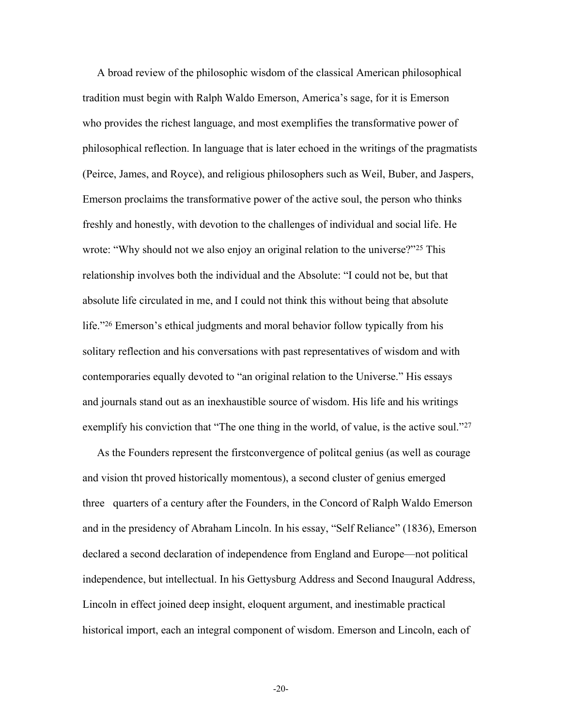A broad review of the philosophic wisdom of the classical American philosophical tradition must begin with Ralph Waldo Emerson, America's sage, for it is Emerson who provides the richest language, and most exemplifies the transformative power of philosophical reflection. In language that is later echoed in the writings of the pragmatists (Peirce, James, and Royce), and religious philosophers such as Weil, Buber, and Jaspers, Emerson proclaims the transformative power of the active soul, the person who thinks freshly and honestly, with devotion to the challenges of individual and social life. He wrote: "Why should not we also enjoy an original relation to the universe?"<sup>25</sup> This relationship involves both the individual and the Absolute: "I could not be, but that absolute life circulated in me, and I could not think this without being that absolute life."<sup>26</sup> Emerson's ethical judgments and moral behavior follow typically from his solitary reflection and his conversations with past representatives of wisdom and with contemporaries equally devoted to "an original relation to the Universe." His essays and journals stand out as an inexhaustible source of wisdom. His life and his writings exemplify his conviction that "The one thing in the world, of value, is the active soul."<sup>27</sup>

As the Founders represent the firstconvergence of politcal genius (as well as courage and vision tht proved historically momentous), a second cluster of genius emerged three quarters of a century after the Founders, in the Concord of Ralph Waldo Emerson and in the presidency of Abraham Lincoln. In his essay, "Self Reliance" (1836), Emerson declared a second declaration of independence from England and Europe—not political independence, but intellectual. In his Gettysburg Address and Second Inaugural Address, Lincoln in effect joined deep insight, eloquent argument, and inestimable practical historical import, each an integral component of wisdom. Emerson and Lincoln, each of

-20-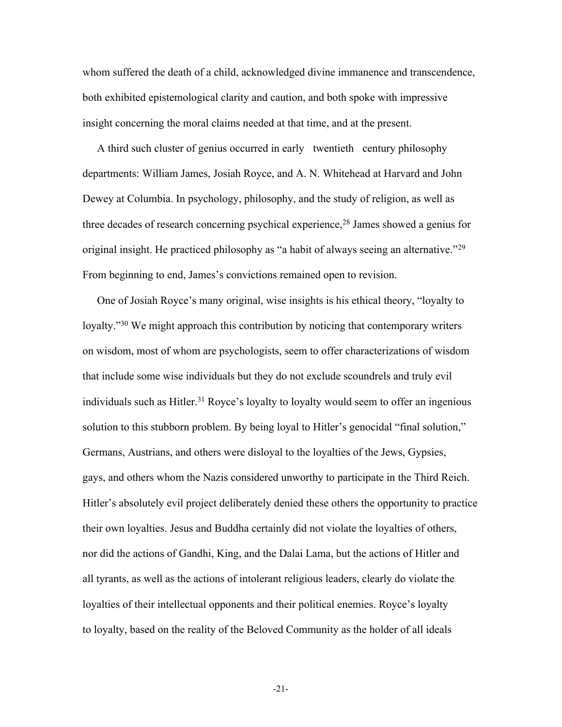whom suffered the death of a child, acknowledged divine immanence and transcendence, both exhibited epistemological clarity and caution, and both spoke with impressive insight concerning the moral claims needed at that time, and at the present.

A third such cluster of genius occurred in early twentieth century philosophy departments: William James, Josiah Royce, and A. N. Whitehead at Harvard and John Dewey at Columbia. In psychology, philosophy, and the study of religion, as well as three decades of research concerning psychical experience,<sup>28</sup> James showed a genius for original insight. He practiced philosophy as "a habit of always seeing an alternative."<sup>29</sup> From beginning to end, James's convictions remained open to revision.

One of Josiah Royce's many original, wise insights is his ethical theory, "loyalty to loyalty."<sup>30</sup> We might approach this contribution by noticing that contemporary writers on wisdom, most of whom are psychologists, seem to offer characterizations of wisdom that include some wise individuals but they do not exclude scoundrels and truly evil individuals such as Hitler.<sup>31</sup> Royce's loyalty to loyalty would seem to offer an ingenious solution to this stubborn problem. By being loyal to Hitler's genocidal "final solution," Germans, Austrians, and others were disloyal to the loyalties of the Jews, Gypsies, gays, and others whom the Nazis considered unworthy to participate in the Third Reich. Hitler's absolutely evil project deliberately denied these others the opportunity to practice their own loyalties. Jesus and Buddha certainly did not violate the loyalties of others, nor did the actions of Gandhi, King, and the Dalai Lama, but the actions of Hitler and all tyrants, as well as the actions of intolerant religious leaders, clearly do violate the loyalties of their intellectual opponents and their political enemies. Royce's loyalty to loyalty, based on the reality of the Beloved Community as the holder of all ideals

-21-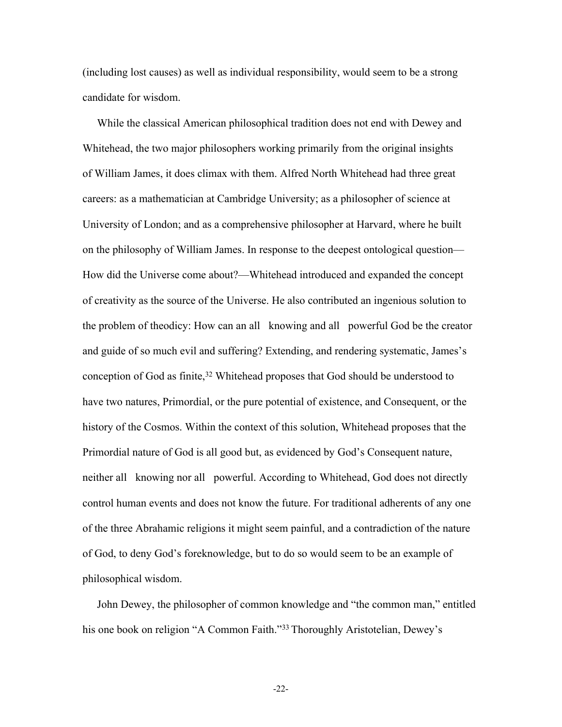(including lost causes) as well as individual responsibility, would seem to be a strong candidate for wisdom.

While the classical American philosophical tradition does not end with Dewey and Whitehead, the two major philosophers working primarily from the original insights of William James, it does climax with them. Alfred North Whitehead had three great careers: as a mathematician at Cambridge University; as a philosopher of science at University of London; and as a comprehensive philosopher at Harvard, where he built on the philosophy of William James. In response to the deepest ontological question— How did the Universe come about?—Whitehead introduced and expanded the concept of creativity as the source of the Universe. He also contributed an ingenious solution to the problem of theodicy: How can an all knowing and all powerful God be the creator and guide of so much evil and suffering? Extending, and rendering systematic, James's conception of God as finite,<sup>32</sup> Whitehead proposes that God should be understood to have two natures, Primordial, or the pure potential of existence, and Consequent, or the history of the Cosmos. Within the context of this solution, Whitehead proposes that the Primordial nature of God is all good but, as evidenced by God's Consequent nature, neither all knowing nor all powerful. According to Whitehead, God does not directly control human events and does not know the future. For traditional adherents of any one of the three Abrahamic religions it might seem painful, and a contradiction of the nature of God, to deny God's foreknowledge, but to do so would seem to be an example of philosophical wisdom.

John Dewey, the philosopher of common knowledge and "the common man," entitled his one book on religion "A Common Faith."<sup>33</sup> Thoroughly Aristotelian, Dewey's

-22-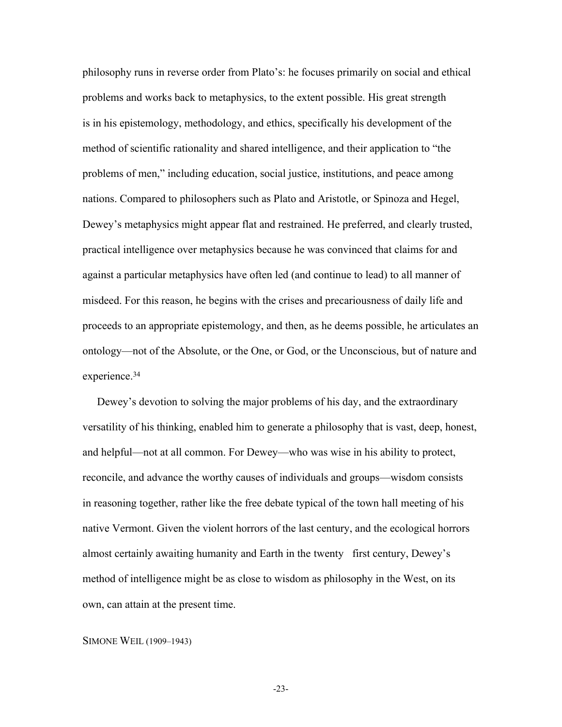philosophy runs in reverse order from Plato's: he focuses primarily on social and ethical problems and works back to metaphysics, to the extent possible. His great strength is in his epistemology, methodology, and ethics, specifically his development of the method of scientific rationality and shared intelligence, and their application to "the problems of men," including education, social justice, institutions, and peace among nations. Compared to philosophers such as Plato and Aristotle, or Spinoza and Hegel, Dewey's metaphysics might appear flat and restrained. He preferred, and clearly trusted, practical intelligence over metaphysics because he was convinced that claims for and against a particular metaphysics have often led (and continue to lead) to all manner of misdeed. For this reason, he begins with the crises and precariousness of daily life and proceeds to an appropriate epistemology, and then, as he deems possible, he articulates an ontology—not of the Absolute, or the One, or God, or the Unconscious, but of nature and experience.<sup>34</sup>

Dewey's devotion to solving the major problems of his day, and the extraordinary versatility of his thinking, enabled him to generate a philosophy that is vast, deep, honest, and helpful—not at all common. For Dewey—who was wise in his ability to protect, reconcile, and advance the worthy causes of individuals and groups—wisdom consists in reasoning together, rather like the free debate typical of the town hall meeting of his native Vermont. Given the violent horrors of the last century, and the ecological horrors almost certainly awaiting humanity and Earth in the twenty first century, Dewey's method of intelligence might be as close to wisdom as philosophy in the West, on its own, can attain at the present time.

### SIMONE WEIL (1909–1943)

-23-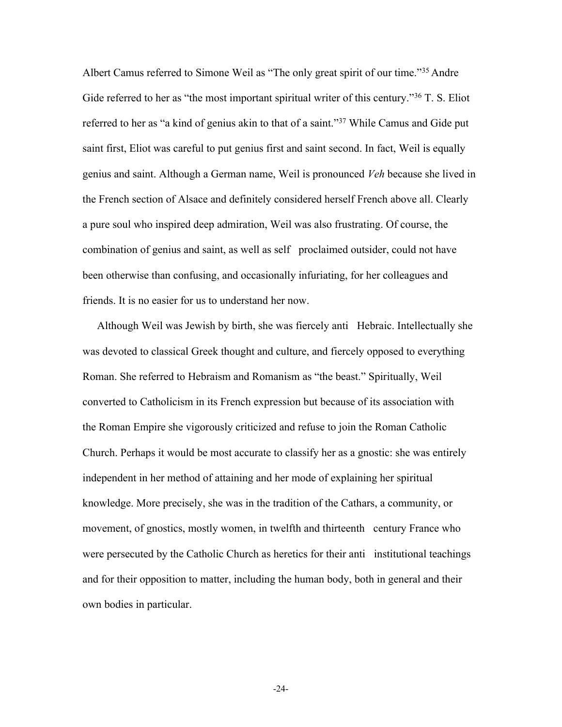Albert Camus referred to Simone Weil as "The only great spirit of our time."<sup>35</sup> Andre Gide referred to her as "the most important spiritual writer of this century."<sup>36</sup> T. S. Eliot referred to her as "a kind of genius akin to that of a saint."<sup>37</sup> While Camus and Gide put saint first, Eliot was careful to put genius first and saint second. In fact, Weil is equally genius and saint. Although a German name, Weil is pronounced *Veh* because she lived in the French section of Alsace and definitely considered herself French above all. Clearly a pure soul who inspired deep admiration, Weil was also frustrating. Of course, the combination of genius and saint, as well as self proclaimed outsider, could not have been otherwise than confusing, and occasionally infuriating, for her colleagues and friends. It is no easier for us to understand her now.

Although Weil was Jewish by birth, she was fiercely anti Hebraic. Intellectually she was devoted to classical Greek thought and culture, and fiercely opposed to everything Roman. She referred to Hebraism and Romanism as "the beast." Spiritually, Weil converted to Catholicism in its French expression but because of its association with the Roman Empire she vigorously criticized and refuse to join the Roman Catholic Church. Perhaps it would be most accurate to classify her as a gnostic: she was entirely independent in her method of attaining and her mode of explaining her spiritual knowledge. More precisely, she was in the tradition of the Cathars, a community, or movement, of gnostics, mostly women, in twelfth and thirteenth century France who were persecuted by the Catholic Church as heretics for their anti institutional teachings and for their opposition to matter, including the human body, both in general and their own bodies in particular.

-24-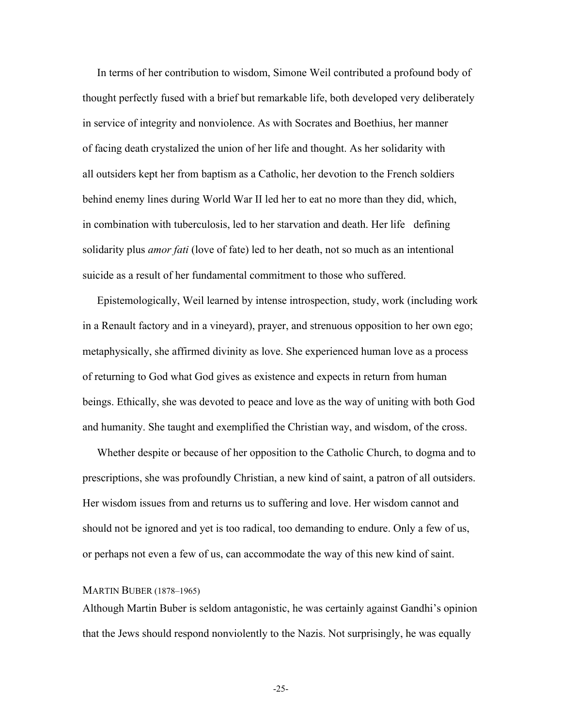In terms of her contribution to wisdom, Simone Weil contributed a profound body of thought perfectly fused with a brief but remarkable life, both developed very deliberately in service of integrity and nonviolence. As with Socrates and Boethius, her manner of facing death crystalized the union of her life and thought. As her solidarity with all outsiders kept her from baptism as a Catholic, her devotion to the French soldiers behind enemy lines during World War II led her to eat no more than they did, which, in combination with tuberculosis, led to her starvation and death. Her life defining solidarity plus *amor fati* (love of fate) led to her death, not so much as an intentional suicide as a result of her fundamental commitment to those who suffered.

Epistemologically, Weil learned by intense introspection, study, work (including work in a Renault factory and in a vineyard), prayer, and strenuous opposition to her own ego; metaphysically, she affirmed divinity as love. She experienced human love as a process of returning to God what God gives as existence and expects in return from human beings. Ethically, she was devoted to peace and love as the way of uniting with both God and humanity. She taught and exemplified the Christian way, and wisdom, of the cross.

Whether despite or because of her opposition to the Catholic Church, to dogma and to prescriptions, she was profoundly Christian, a new kind of saint, a patron of all outsiders. Her wisdom issues from and returns us to suffering and love. Her wisdom cannot and should not be ignored and yet is too radical, too demanding to endure. Only a few of us, or perhaps not even a few of us, can accommodate the way of this new kind of saint.

#### MARTIN BUBER (1878–1965)

Although Martin Buber is seldom antagonistic, he was certainly against Gandhi's opinion that the Jews should respond nonviolently to the Nazis. Not surprisingly, he was equally

-25-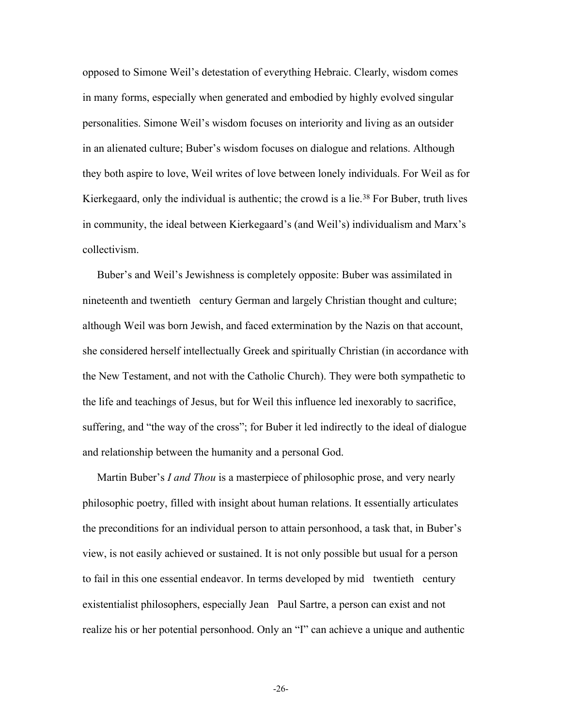opposed to Simone Weil's detestation of everything Hebraic. Clearly, wisdom comes in many forms, especially when generated and embodied by highly evolved singular personalities. Simone Weil's wisdom focuses on interiority and living as an outsider in an alienated culture; Buber's wisdom focuses on dialogue and relations. Although they both aspire to love, Weil writes of love between lonely individuals. For Weil as for Kierkegaard, only the individual is authentic; the crowd is a lie.<sup>38</sup> For Buber, truth lives in community, the ideal between Kierkegaard's (and Weil's) individualism and Marx's collectivism.

Buber's and Weil's Jewishness is completely opposite: Buber was assimilated in nineteenth and twentieth century German and largely Christian thought and culture; although Weil was born Jewish, and faced extermination by the Nazis on that account, she considered herself intellectually Greek and spiritually Christian (in accordance with the New Testament, and not with the Catholic Church). They were both sympathetic to the life and teachings of Jesus, but for Weil this influence led inexorably to sacrifice, suffering, and "the way of the cross"; for Buber it led indirectly to the ideal of dialogue and relationship between the humanity and a personal God.

Martin Buber's *I and Thou* is a masterpiece of philosophic prose, and very nearly philosophic poetry, filled with insight about human relations. It essentially articulates the preconditions for an individual person to attain personhood, a task that, in Buber's view, is not easily achieved or sustained. It is not only possible but usual for a person to fail in this one essential endeavor. In terms developed by mid twentieth century existentialist philosophers, especially Jean Paul Sartre, a person can exist and not realize his or her potential personhood. Only an "I" can achieve a unique and authentic

-26-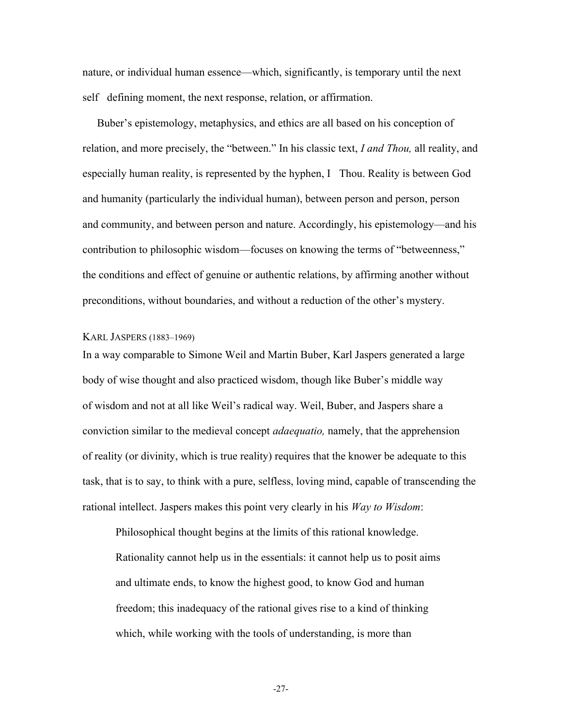nature, or individual human essence—which, significantly, is temporary until the next self defining moment, the next response, relation, or affirmation.

Buber's epistemology, metaphysics, and ethics are all based on his conception of relation, and more precisely, the "between." In his classic text, *I and Thou,* all reality, and especially human reality, is represented by the hyphen, I Thou. Reality is between God and humanity (particularly the individual human), between person and person, person and community, and between person and nature. Accordingly, his epistemology—and his contribution to philosophic wisdom—focuses on knowing the terms of "betweenness," the conditions and effect of genuine or authentic relations, by affirming another without preconditions, without boundaries, and without a reduction of the other's mystery.

#### KARL JASPERS (1883–1969)

In a way comparable to Simone Weil and Martin Buber, Karl Jaspers generated a large body of wise thought and also practiced wisdom, though like Buber's middle way of wisdom and not at all like Weil's radical way. Weil, Buber, and Jaspers share a conviction similar to the medieval concept *adaequatio,* namely, that the apprehension of reality (or divinity, which is true reality) requires that the knower be adequate to this task, that is to say, to think with a pure, selfless, loving mind, capable of transcending the rational intellect. Jaspers makes this point very clearly in his *Way to Wisdom*:

Philosophical thought begins at the limits of this rational knowledge. Rationality cannot help us in the essentials: it cannot help us to posit aims and ultimate ends, to know the highest good, to know God and human freedom; this inadequacy of the rational gives rise to a kind of thinking which, while working with the tools of understanding, is more than

-27-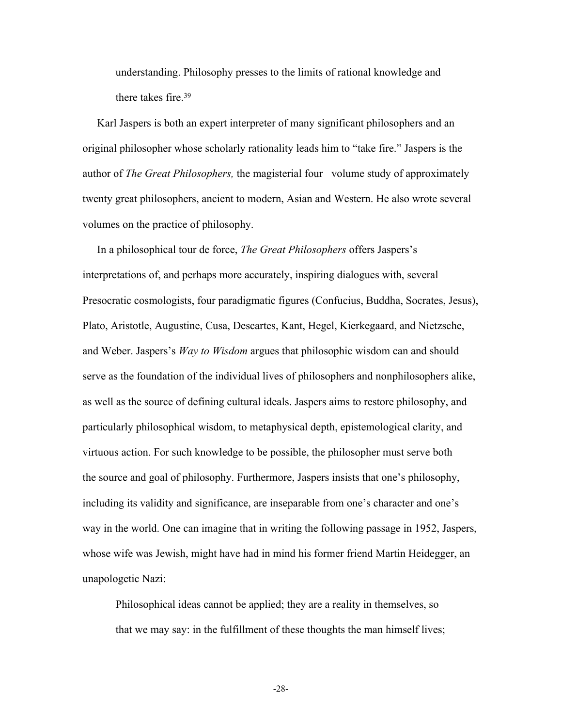understanding. Philosophy presses to the limits of rational knowledge and there takes fire.<sup>39</sup>

Karl Jaspers is both an expert interpreter of many significant philosophers and an original philosopher whose scholarly rationality leads him to "take fire." Jaspers is the author of *The Great Philosophers,* the magisterial four volume study of approximately twenty great philosophers, ancient to modern, Asian and Western. He also wrote several volumes on the practice of philosophy.

In a philosophical tour de force, *The Great Philosophers* offers Jaspers's interpretations of, and perhaps more accurately, inspiring dialogues with, several Presocratic cosmologists, four paradigmatic figures (Confucius, Buddha, Socrates, Jesus), Plato, Aristotle, Augustine, Cusa, Descartes, Kant, Hegel, Kierkegaard, and Nietzsche, and Weber. Jaspers's *Way to Wisdom* argues that philosophic wisdom can and should serve as the foundation of the individual lives of philosophers and nonphilosophers alike, as well as the source of defining cultural ideals. Jaspers aims to restore philosophy, and particularly philosophical wisdom, to metaphysical depth, epistemological clarity, and virtuous action. For such knowledge to be possible, the philosopher must serve both the source and goal of philosophy. Furthermore, Jaspers insists that one's philosophy, including its validity and significance, are inseparable from one's character and one's way in the world. One can imagine that in writing the following passage in 1952, Jaspers, whose wife was Jewish, might have had in mind his former friend Martin Heidegger, an unapologetic Nazi:

Philosophical ideas cannot be applied; they are a reality in themselves, so that we may say: in the fulfillment of these thoughts the man himself lives;

-28-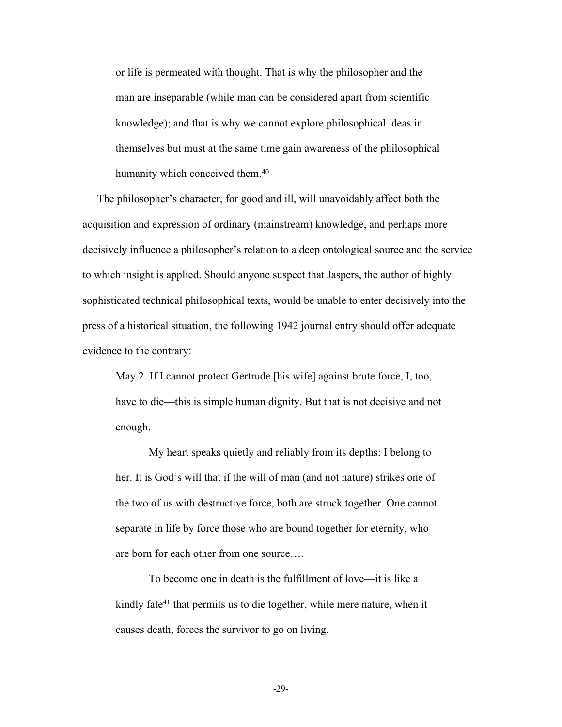or life is permeated with thought. That is why the philosopher and the man are inseparable (while man can be considered apart from scientific knowledge); and that is why we cannot explore philosophical ideas in themselves but must at the same time gain awareness of the philosophical humanity which conceived them.<sup>40</sup>

The philosopher's character, for good and ill, will unavoidably affect both the acquisition and expression of ordinary (mainstream) knowledge, and perhaps more decisively influence a philosopher's relation to a deep ontological source and the service to which insight is applied. Should anyone suspect that Jaspers, the author of highly sophisticated technical philosophical texts, would be unable to enter decisively into the press of a historical situation, the following 1942 journal entry should offer adequate evidence to the contrary:

May 2. If I cannot protect Gertrude [his wife] against brute force, I, too, have to die—this is simple human dignity. But that is not decisive and not enough.

My heart speaks quietly and reliably from its depths: I belong to her. It is God's will that if the will of man (and not nature) strikes one of the two of us with destructive force, both are struck together. One cannot separate in life by force those who are bound together for eternity, who are born for each other from one source….

To become one in death is the fulfillment of love—it is like a kindly fate<sup>41</sup> that permits us to die together, while mere nature, when it causes death, forces the survivor to go on living.

-29-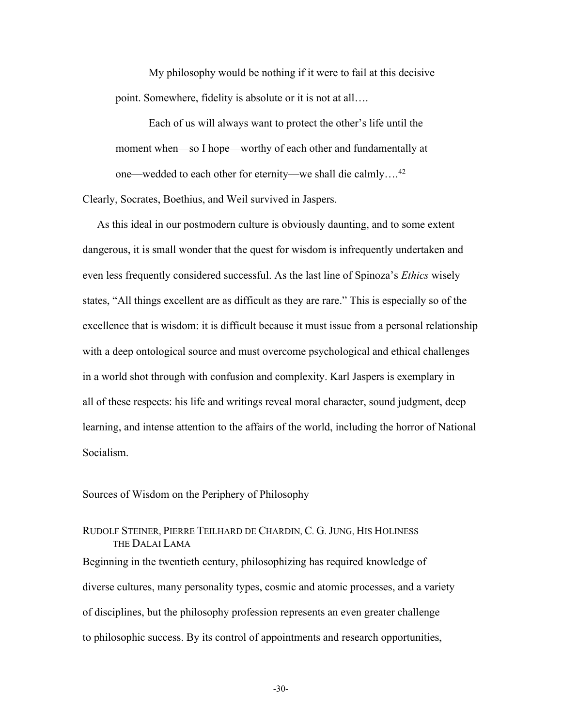My philosophy would be nothing if it were to fail at this decisive point. Somewhere, fidelity is absolute or it is not at all….

Each of us will always want to protect the other's life until the moment when—so I hope—worthy of each other and fundamentally at one—wedded to each other for eternity—we shall die calmly….<sup>42</sup>

Clearly, Socrates, Boethius, and Weil survived in Jaspers.

As this ideal in our postmodern culture is obviously daunting, and to some extent dangerous, it is small wonder that the quest for wisdom is infrequently undertaken and even less frequently considered successful. As the last line of Spinoza's *Ethics* wisely states, "All things excellent are as difficult as they are rare." This is especially so of the excellence that is wisdom: it is difficult because it must issue from a personal relationship with a deep ontological source and must overcome psychological and ethical challenges in a world shot through with confusion and complexity. Karl Jaspers is exemplary in all of these respects: his life and writings reveal moral character, sound judgment, deep learning, and intense attention to the affairs of the world, including the horror of National Socialism.

### Sources of Wisdom on the Periphery of Philosophy

## RUDOLF STEINER, PIERRE TEILHARD DE CHARDIN, C. G. JUNG, HIS HOLINESS THE DALAI LAMA

Beginning in the twentieth century, philosophizing has required knowledge of diverse cultures, many personality types, cosmic and atomic processes, and a variety of disciplines, but the philosophy profession represents an even greater challenge to philosophic success. By its control of appointments and research opportunities,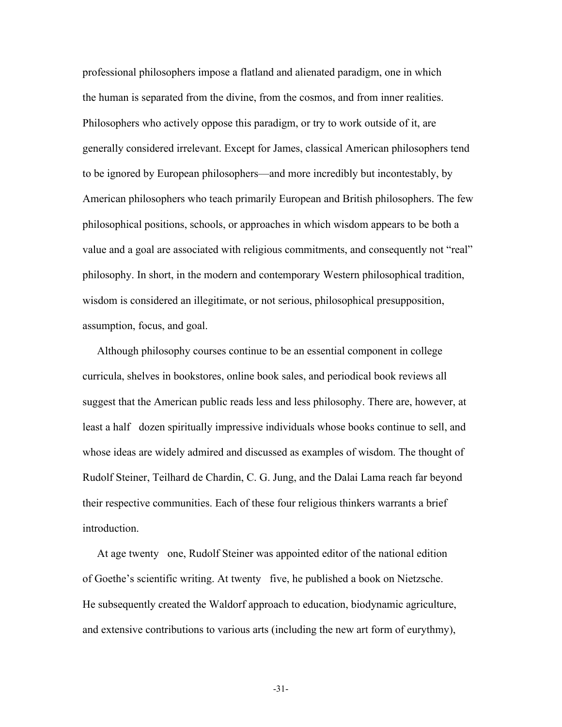professional philosophers impose a flatland and alienated paradigm, one in which the human is separated from the divine, from the cosmos, and from inner realities. Philosophers who actively oppose this paradigm, or try to work outside of it, are generally considered irrelevant. Except for James, classical American philosophers tend to be ignored by European philosophers—and more incredibly but incontestably, by American philosophers who teach primarily European and British philosophers. The few philosophical positions, schools, or approaches in which wisdom appears to be both a value and a goal are associated with religious commitments, and consequently not "real" philosophy. In short, in the modern and contemporary Western philosophical tradition, wisdom is considered an illegitimate, or not serious, philosophical presupposition, assumption, focus, and goal.

Although philosophy courses continue to be an essential component in college curricula, shelves in bookstores, online book sales, and periodical book reviews all suggest that the American public reads less and less philosophy. There are, however, at least a half dozen spiritually impressive individuals whose books continue to sell, and whose ideas are widely admired and discussed as examples of wisdom. The thought of Rudolf Steiner, Teilhard de Chardin, C. G. Jung, and the Dalai Lama reach far beyond their respective communities. Each of these four religious thinkers warrants a brief introduction.

At age twenty one, Rudolf Steiner was appointed editor of the national edition of Goethe's scientific writing. At twenty five, he published a book on Nietzsche. He subsequently created the Waldorf approach to education, biodynamic agriculture, and extensive contributions to various arts (including the new art form of eurythmy),

-31-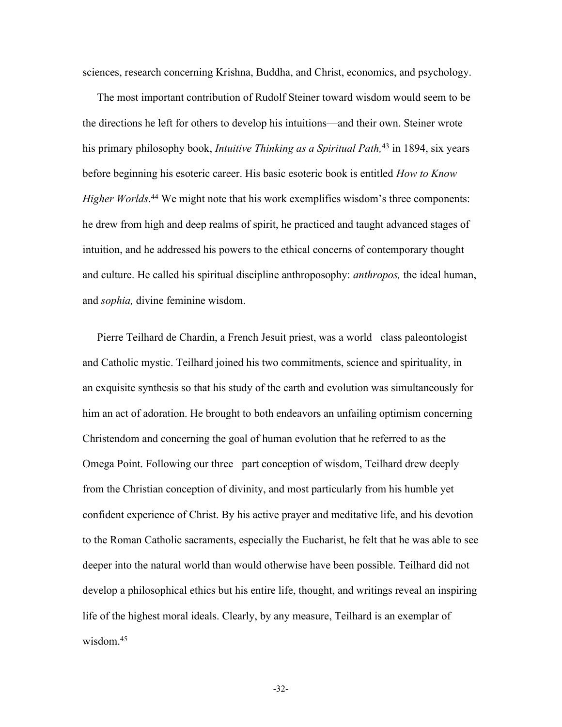sciences, research concerning Krishna, Buddha, and Christ, economics, and psychology.

The most important contribution of Rudolf Steiner toward wisdom would seem to be the directions he left for others to develop his intuitions—and their own. Steiner wrote his primary philosophy book, *Intuitive Thinking as a Spiritual Path,*<sup>43</sup> in 1894, six years before beginning his esoteric career. His basic esoteric book is entitled *How to Know*  Higher Worlds.<sup>44</sup> We might note that his work exemplifies wisdom's three components: he drew from high and deep realms of spirit, he practiced and taught advanced stages of intuition, and he addressed his powers to the ethical concerns of contemporary thought and culture. He called his spiritual discipline anthroposophy: *anthropos,* the ideal human, and *sophia,* divine feminine wisdom.

Pierre Teilhard de Chardin, a French Jesuit priest, was a world class paleontologist and Catholic mystic. Teilhard joined his two commitments, science and spirituality, in an exquisite synthesis so that his study of the earth and evolution was simultaneously for him an act of adoration. He brought to both endeavors an unfailing optimism concerning Christendom and concerning the goal of human evolution that he referred to as the Omega Point. Following our three part conception of wisdom, Teilhard drew deeply from the Christian conception of divinity, and most particularly from his humble yet confident experience of Christ. By his active prayer and meditative life, and his devotion to the Roman Catholic sacraments, especially the Eucharist, he felt that he was able to see deeper into the natural world than would otherwise have been possible. Teilhard did not develop a philosophical ethics but his entire life, thought, and writings reveal an inspiring life of the highest moral ideals. Clearly, by any measure, Teilhard is an exemplar of wisdom.<sup>45</sup>

-32-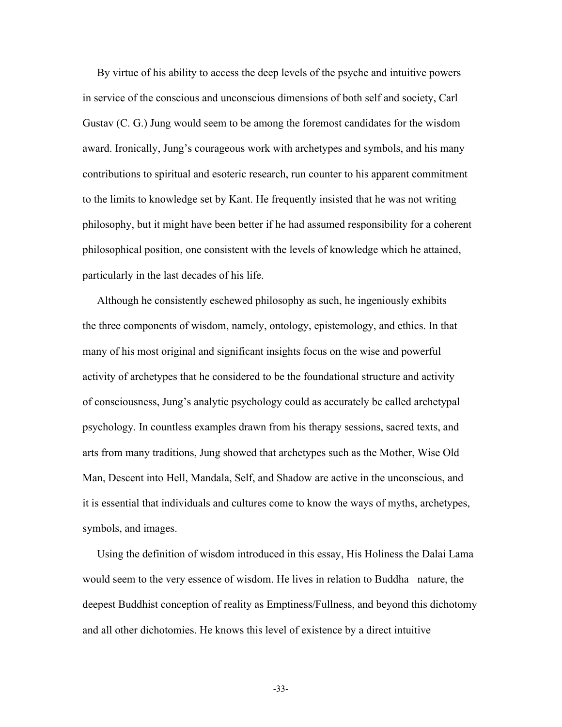By virtue of his ability to access the deep levels of the psyche and intuitive powers in service of the conscious and unconscious dimensions of both self and society, Carl Gustav (C. G.) Jung would seem to be among the foremost candidates for the wisdom award. Ironically, Jung's courageous work with archetypes and symbols, and his many contributions to spiritual and esoteric research, run counter to his apparent commitment to the limits to knowledge set by Kant. He frequently insisted that he was not writing philosophy, but it might have been better if he had assumed responsibility for a coherent philosophical position, one consistent with the levels of knowledge which he attained, particularly in the last decades of his life.

Although he consistently eschewed philosophy as such, he ingeniously exhibits the three components of wisdom, namely, ontology, epistemology, and ethics. In that many of his most original and significant insights focus on the wise and powerful activity of archetypes that he considered to be the foundational structure and activity of consciousness, Jung's analytic psychology could as accurately be called archetypal psychology. In countless examples drawn from his therapy sessions, sacred texts, and arts from many traditions, Jung showed that archetypes such as the Mother, Wise Old Man, Descent into Hell, Mandala, Self, and Shadow are active in the unconscious, and it is essential that individuals and cultures come to know the ways of myths, archetypes, symbols, and images.

Using the definition of wisdom introduced in this essay, His Holiness the Dalai Lama would seem to the very essence of wisdom. He lives in relation to Buddha nature, the deepest Buddhist conception of reality as Emptiness/Fullness, and beyond this dichotomy and all other dichotomies. He knows this level of existence by a direct intuitive

-33-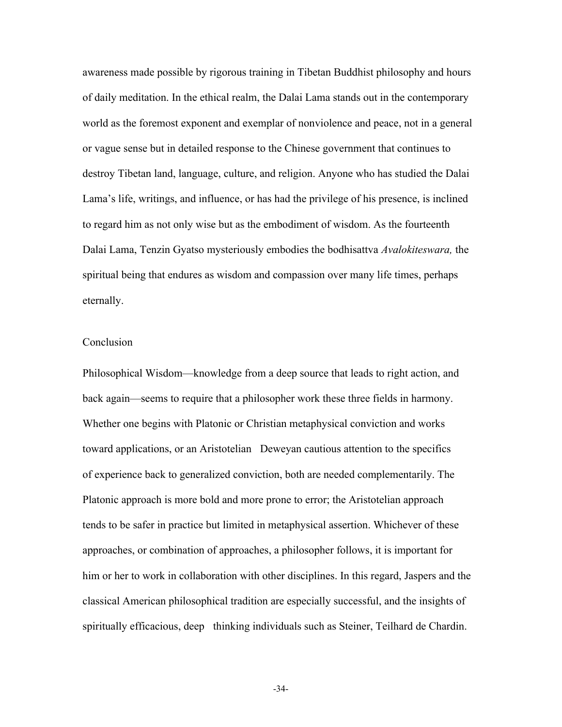awareness made possible by rigorous training in Tibetan Buddhist philosophy and hours of daily meditation. In the ethical realm, the Dalai Lama stands out in the contemporary world as the foremost exponent and exemplar of nonviolence and peace, not in a general or vague sense but in detailed response to the Chinese government that continues to destroy Tibetan land, language, culture, and religion. Anyone who has studied the Dalai Lama's life, writings, and influence, or has had the privilege of his presence, is inclined to regard him as not only wise but as the embodiment of wisdom. As the fourteenth Dalai Lama, Tenzin Gyatso mysteriously embodies the bodhisattva *Avalokiteswara,* the spiritual being that endures as wisdom and compassion over many life times, perhaps eternally.

#### Conclusion

Philosophical Wisdom—knowledge from a deep source that leads to right action, and back again—seems to require that a philosopher work these three fields in harmony. Whether one begins with Platonic or Christian metaphysical conviction and works toward applications, or an Aristotelian Deweyan cautious attention to the specifics of experience back to generalized conviction, both are needed complementarily. The Platonic approach is more bold and more prone to error; the Aristotelian approach tends to be safer in practice but limited in metaphysical assertion. Whichever of these approaches, or combination of approaches, a philosopher follows, it is important for him or her to work in collaboration with other disciplines. In this regard, Jaspers and the classical American philosophical tradition are especially successful, and the insights of spiritually efficacious, deep thinking individuals such as Steiner, Teilhard de Chardin.

-34-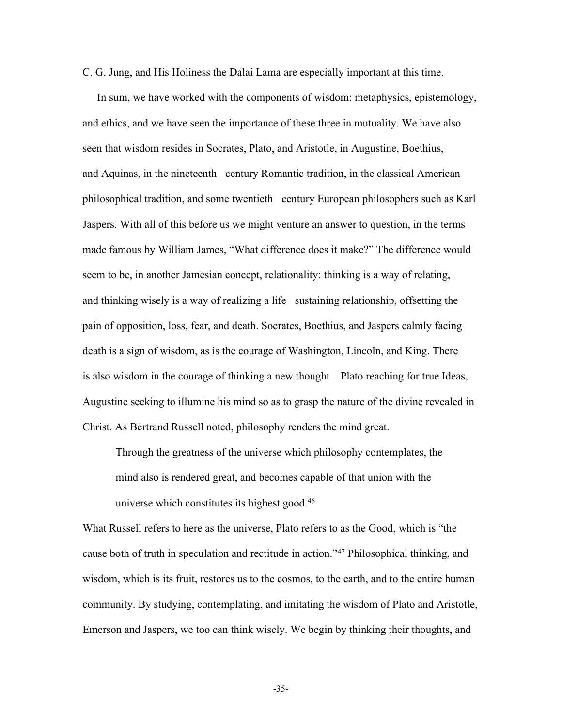C. G. Jung, and His Holiness the Dalai Lama are especially important at this time.

In sum, we have worked with the components of wisdom: metaphysics, epistemology, and ethics, and we have seen the importance of these three in mutuality. We have also seen that wisdom resides in Socrates, Plato, and Aristotle, in Augustine, Boethius, and Aquinas, in the nineteenth century Romantic tradition, in the classical American philosophical tradition, and some twentieth century European philosophers such as Karl Jaspers. With all of this before us we might venture an answer to question, in the terms made famous by William James, "What difference does it make?" The difference would seem to be, in another Jamesian concept, relationality: thinking is a way of relating, and thinking wisely is a way of realizing a life sustaining relationship, offsetting the pain of opposition, loss, fear, and death. Socrates, Boethius, and Jaspers calmly facing death is a sign of wisdom, as is the courage of Washington, Lincoln, and King. There is also wisdom in the courage of thinking a new thought—Plato reaching for true Ideas, Augustine seeking to illumine his mind so as to grasp the nature of the divine revealed in Christ. As Bertrand Russell noted, philosophy renders the mind great.

Through the greatness of the universe which philosophy contemplates, the mind also is rendered great, and becomes capable of that union with the universe which constitutes its highest good.<sup>46</sup>

What Russell refers to here as the universe, Plato refers to as the Good, which is "the cause both of truth in speculation and rectitude in action."<sup>47</sup> Philosophical thinking, and wisdom, which is its fruit, restores us to the cosmos, to the earth, and to the entire human community. By studying, contemplating, and imitating the wisdom of Plato and Aristotle, Emerson and Jaspers, we too can think wisely. We begin by thinking their thoughts, and

-35-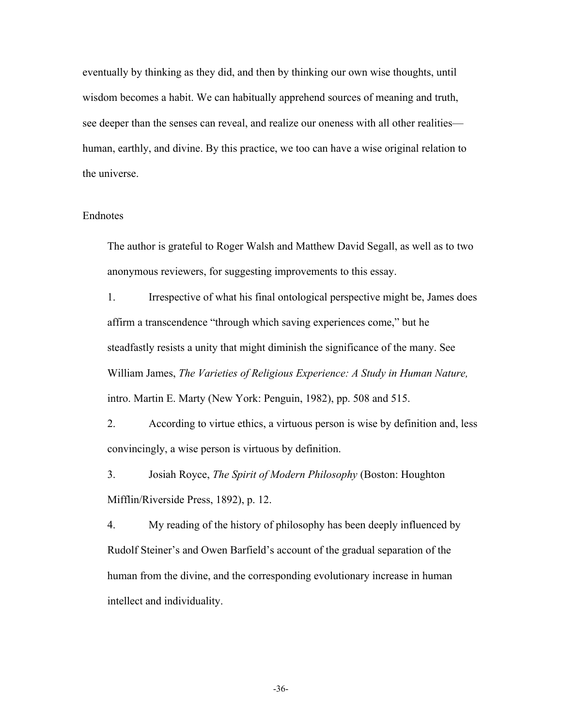eventually by thinking as they did, and then by thinking our own wise thoughts, until wisdom becomes a habit. We can habitually apprehend sources of meaning and truth, see deeper than the senses can reveal, and realize our oneness with all other realities human, earthly, and divine. By this practice, we too can have a wise original relation to the universe.

#### Endnotes

The author is grateful to Roger Walsh and Matthew David Segall, as well as to two anonymous reviewers, for suggesting improvements to this essay.

1. Irrespective of what his final ontological perspective might be, James does affirm a transcendence "through which saving experiences come," but he steadfastly resists a unity that might diminish the significance of the many. See William James, *The Varieties of Religious Experience: A Study in Human Nature,* intro. Martin E. Marty (New York: Penguin, 1982), pp. 508 and 515.

2. According to virtue ethics, a virtuous person is wise by definition and, less convincingly, a wise person is virtuous by definition.

3. Josiah Royce, *The Spirit of Modern Philosophy* (Boston: Houghton Mifflin/Riverside Press, 1892), p. 12.

4. My reading of the history of philosophy has been deeply influenced by Rudolf Steiner's and Owen Barfield's account of the gradual separation of the human from the divine, and the corresponding evolutionary increase in human intellect and individuality.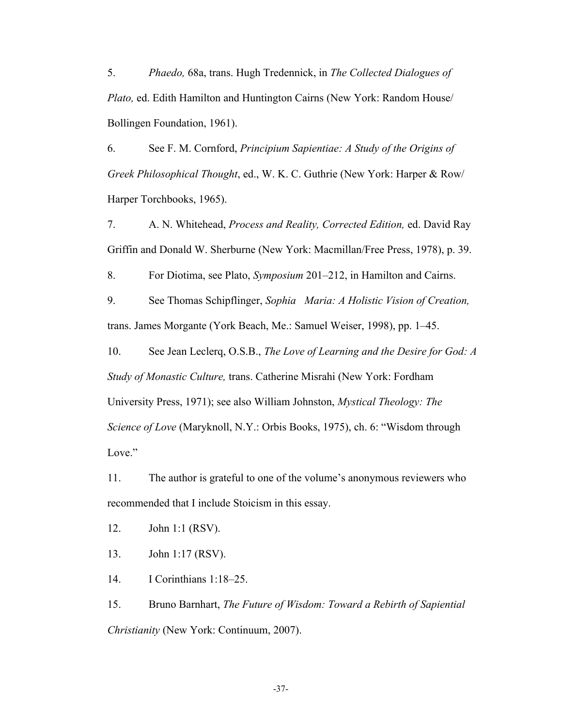5. *Phaedo,* 68a, trans. Hugh Tredennick, in *The Collected Dialogues of Plato,* ed. Edith Hamilton and Huntington Cairns (New York: Random House/ Bollingen Foundation, 1961).

6. See F. M. Cornford, *Principium Sapientiae: A Study of the Origins of Greek Philosophical Thought*, ed., W. K. C. Guthrie (New York: Harper & Row/ Harper Torchbooks, 1965).

7. A. N. Whitehead, *Process and Reality, Corrected Edition,* ed. David Ray Griffin and Donald W. Sherburne (New York: Macmillan/Free Press, 1978), p. 39.

8. For Diotima, see Plato, *Symposium* 201–212, in Hamilton and Cairns.

9. See Thomas Schipflinger, *Sophia Maria: A Holistic Vision of Creation,* trans. James Morgante (York Beach, Me.: Samuel Weiser, 1998), pp. 1–45.

10. See Jean Leclerq, O.S.B., *The Love of Learning and the Desire for God: A Study of Monastic Culture,* trans. Catherine Misrahi (New York: Fordham University Press, 1971); see also William Johnston, *Mystical Theology: The Science of Love* (Maryknoll, N.Y.: Orbis Books, 1975), ch. 6: "Wisdom through Love."

11. The author is grateful to one of the volume's anonymous reviewers who recommended that I include Stoicism in this essay.

12. John 1:1 (RSV).

13. John 1:17 (RSV).

14. I Corinthians 1:18–25.

15. Bruno Barnhart, *The Future of Wisdom: Toward a Rebirth of Sapiential Christianity* (New York: Continuum, 2007).

-37-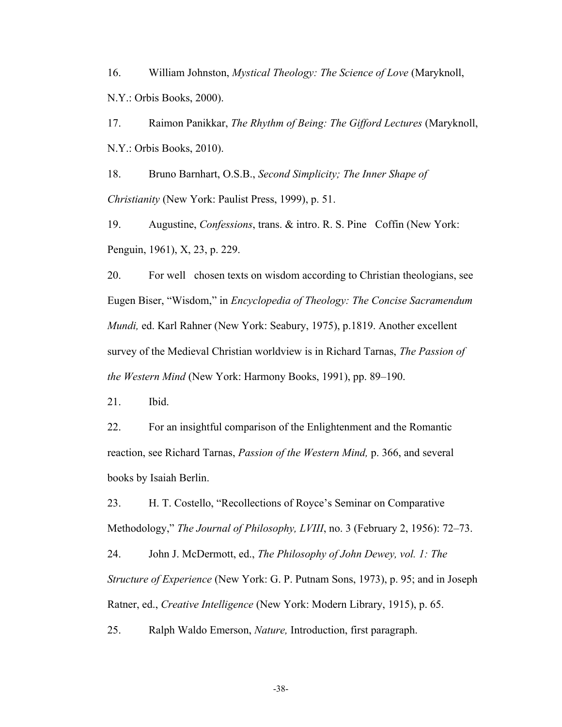16. William Johnston, *Mystical Theology: The Science of Love* (Maryknoll, N.Y.: Orbis Books, 2000).

17. Raimon Panikkar, *The Rhythm of Being: The Gifford Lectures* (Maryknoll, N.Y.: Orbis Books, 2010).

18. Bruno Barnhart, O.S.B., *Second Simplicity; The Inner Shape of Christianity* (New York: Paulist Press, 1999), p. 51.

19. Augustine, *Confessions*, trans. & intro. R. S. Pine Coffin (New York: Penguin, 1961), X, 23, p. 229.

20. For well chosen texts on wisdom according to Christian theologians, see Eugen Biser, "Wisdom," in *Encyclopedia of Theology: The Concise Sacramendum Mundi,* ed. Karl Rahner (New York: Seabury, 1975), p.1819. Another excellent survey of the Medieval Christian worldview is in Richard Tarnas, *The Passion of the Western Mind* (New York: Harmony Books, 1991), pp. 89–190.

21. Ibid.

22. For an insightful comparison of the Enlightenment and the Romantic reaction, see Richard Tarnas, *Passion of the Western Mind,* p. 366, and several books by Isaiah Berlin.

23. H. T. Costello, "Recollections of Royce's Seminar on Comparative Methodology," *The Journal of Philosophy, LVIII*, no. 3 (February 2, 1956): 72–73.

24. John J. McDermott, ed., *The Philosophy of John Dewey, vol. 1: The Structure of Experience* (New York: G. P. Putnam Sons, 1973), p. 95; and in Joseph Ratner, ed., *Creative Intelligence* (New York: Modern Library, 1915), p. 65.

25. Ralph Waldo Emerson, *Nature,* Introduction, first paragraph.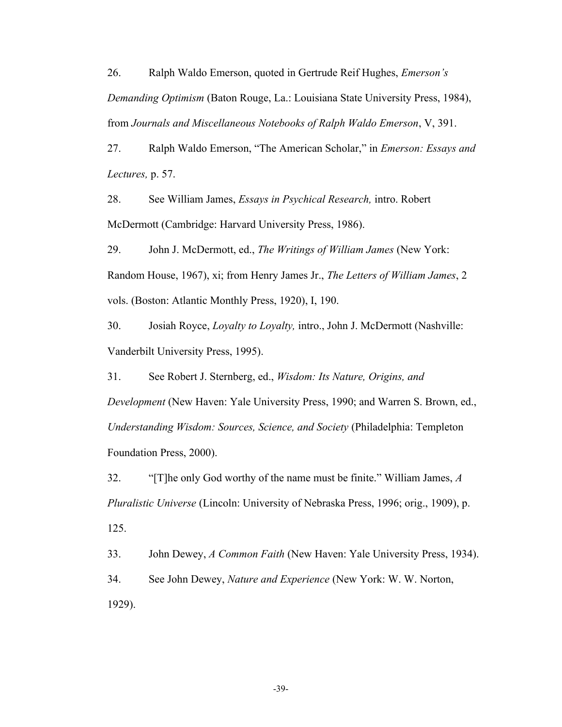26. Ralph Waldo Emerson, quoted in Gertrude Reif Hughes, *Emerson's Demanding Optimism* (Baton Rouge, La.: Louisiana State University Press, 1984), from *Journals and Miscellaneous Notebooks of Ralph Waldo Emerson*, V, 391.

27. Ralph Waldo Emerson, "The American Scholar," in *Emerson: Essays and Lectures,* p. 57.

28. See William James, *Essays in Psychical Research,* intro. Robert McDermott (Cambridge: Harvard University Press, 1986).

29. John J. McDermott, ed., *The Writings of William James* (New York: Random House, 1967), xi; from Henry James Jr., *The Letters of William James*, 2 vols. (Boston: Atlantic Monthly Press, 1920), I, 190.

30. Josiah Royce, *Loyalty to Loyalty,* intro., John J. McDermott (Nashville: Vanderbilt University Press, 1995).

31. See Robert J. Sternberg, ed., *Wisdom: Its Nature, Origins, and Development* (New Haven: Yale University Press, 1990; and Warren S. Brown, ed., *Understanding Wisdom: Sources, Science, and Society* (Philadelphia: Templeton Foundation Press, 2000).

32. "[T]he only God worthy of the name must be finite." William James, *A Pluralistic Universe* (Lincoln: University of Nebraska Press, 1996; orig., 1909), p. 125.

33. John Dewey, *A Common Faith* (New Haven: Yale University Press, 1934). 34. See John Dewey, *Nature and Experience* (New York: W. W. Norton, 1929).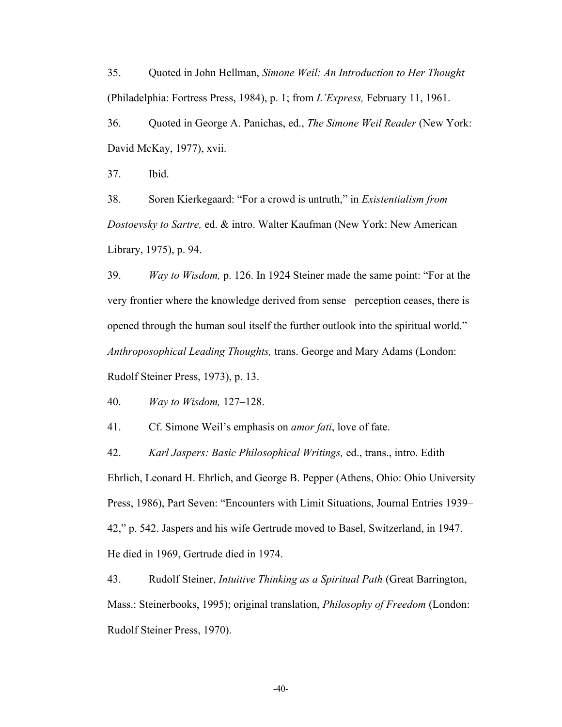35. Quoted in John Hellman, *Simone Weil: An Introduction to Her Thought* (Philadelphia: Fortress Press, 1984), p. 1; from *L'Express,* February 11, 1961.

36. Quoted in George A. Panichas, ed., *The Simone Weil Reader* (New York: David McKay, 1977), xvii.

37. Ibid.

38. Soren Kierkegaard: "For a crowd is untruth," in *Existentialism from Dostoevsky to Sartre,* ed. & intro. Walter Kaufman (New York: New American Library, 1975), p. 94.

39. *Way to Wisdom,* p. 126. In 1924 Steiner made the same point: "For at the very frontier where the knowledge derived from sense perception ceases, there is opened through the human soul itself the further outlook into the spiritual world." *Anthroposophical Leading Thoughts,* trans. George and Mary Adams (London: Rudolf Steiner Press, 1973), p. 13.

40. *Way to Wisdom,* 127–128.

41. Cf. Simone Weil's emphasis on *amor fati*, love of fate.

42. *Karl Jaspers: Basic Philosophical Writings,* ed., trans., intro. Edith Ehrlich, Leonard H. Ehrlich, and George B. Pepper (Athens, Ohio: Ohio University Press, 1986), Part Seven: "Encounters with Limit Situations, Journal Entries 1939– 42," p. 542. Jaspers and his wife Gertrude moved to Basel, Switzerland, in 1947. He died in 1969, Gertrude died in 1974.

43. Rudolf Steiner, *Intuitive Thinking as a Spiritual Path* (Great Barrington, Mass.: Steinerbooks, 1995); original translation, *Philosophy of Freedom* (London: Rudolf Steiner Press, 1970).